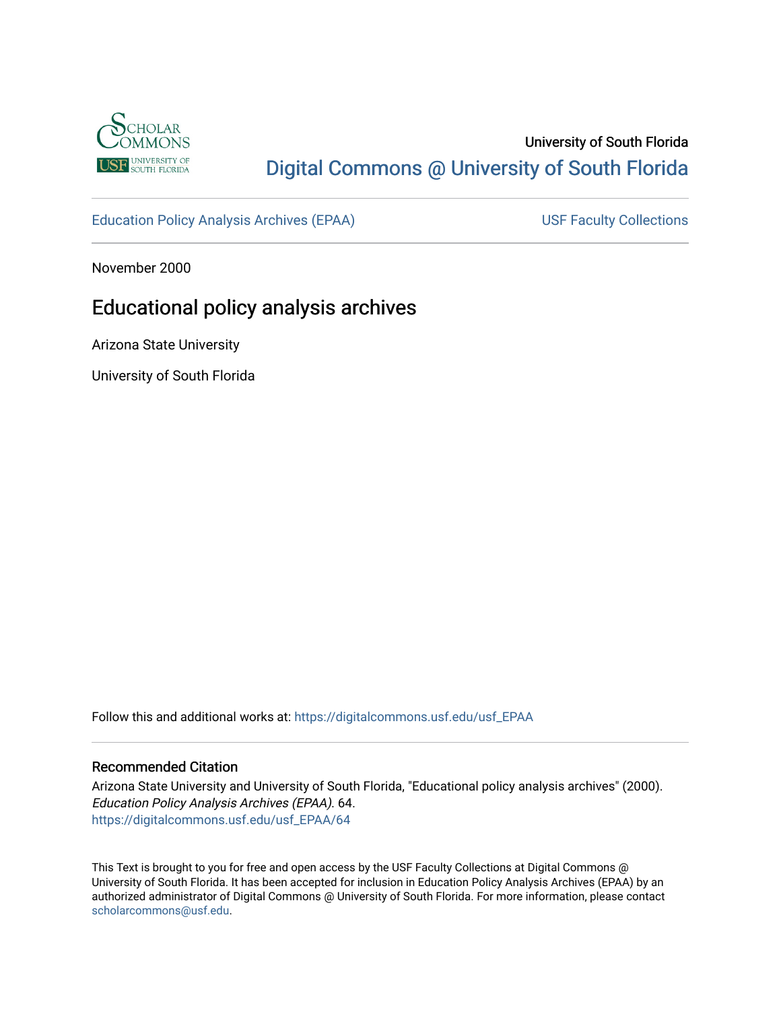

# University of South Florida [Digital Commons @ University of South Florida](https://digitalcommons.usf.edu/)

[Education Policy Analysis Archives \(EPAA\)](https://digitalcommons.usf.edu/usf_EPAA) USF Faculty Collections

November 2000

# Educational policy analysis archives

Arizona State University

University of South Florida

Follow this and additional works at: [https://digitalcommons.usf.edu/usf\\_EPAA](https://digitalcommons.usf.edu/usf_EPAA?utm_source=digitalcommons.usf.edu%2Fusf_EPAA%2F64&utm_medium=PDF&utm_campaign=PDFCoverPages)

### Recommended Citation

Arizona State University and University of South Florida, "Educational policy analysis archives" (2000). Education Policy Analysis Archives (EPAA). 64. [https://digitalcommons.usf.edu/usf\\_EPAA/64](https://digitalcommons.usf.edu/usf_EPAA/64?utm_source=digitalcommons.usf.edu%2Fusf_EPAA%2F64&utm_medium=PDF&utm_campaign=PDFCoverPages) 

This Text is brought to you for free and open access by the USF Faculty Collections at Digital Commons @ University of South Florida. It has been accepted for inclusion in Education Policy Analysis Archives (EPAA) by an authorized administrator of Digital Commons @ University of South Florida. For more information, please contact [scholarcommons@usf.edu.](mailto:scholarcommons@usf.edu)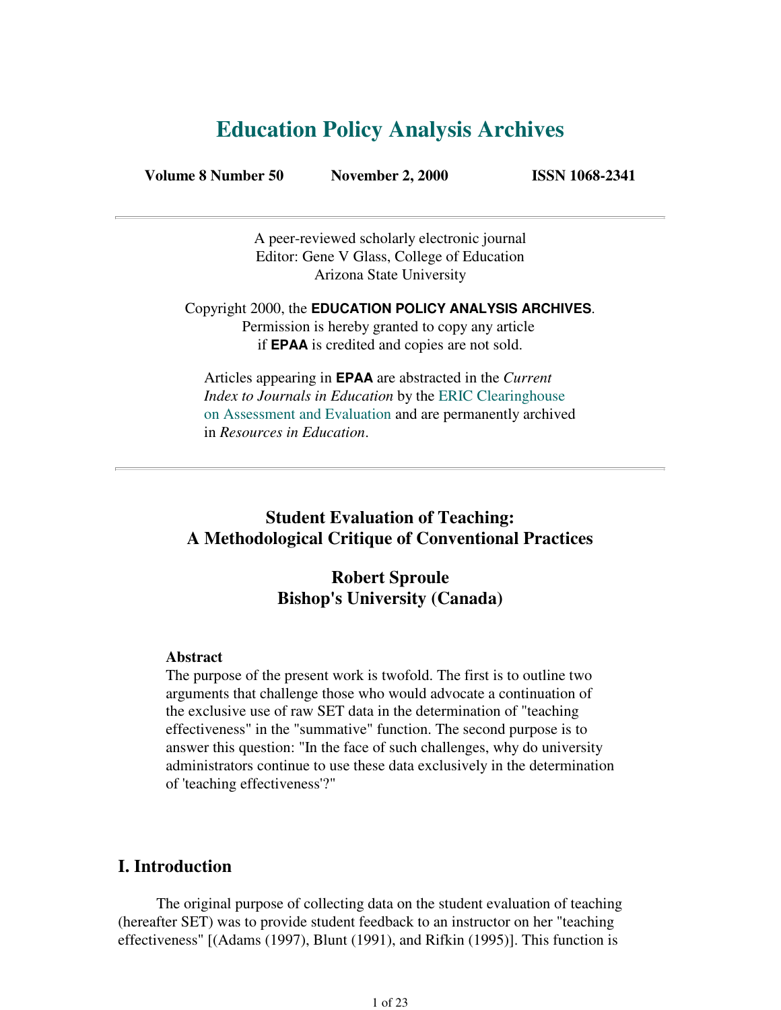# **Education Policy Analysis Archives**

**Volume 8 Number 50 November 2, 2000 ISSN 1068-2341**

A peer-reviewed scholarly electronic journal Editor: Gene V Glass, College of Education Arizona State University

Copyright 2000, the **EDUCATION POLICY ANALYSIS ARCHIVES**. Permission is hereby granted to copy any article if **EPAA** is credited and copies are not sold.

Articles appearing in **EPAA** are abstracted in the *Current Index to Journals in Education* by the ERIC Clearinghouse on Assessment and Evaluation and are permanently archived in *Resources in Education*.

## **Student Evaluation of Teaching: A Methodological Critique of Conventional Practices**

## **Robert Sproule Bishop's University (Canada)**

### **Abstract**

The purpose of the present work is twofold. The first is to outline two arguments that challenge those who would advocate a continuation of the exclusive use of raw SET data in the determination of "teaching effectiveness" in the "summative" function. The second purpose is to answer this question: "In the face of such challenges, why do university administrators continue to use these data exclusively in the determination of 'teaching effectiveness'?"

### **I. Introduction**

 The original purpose of collecting data on the student evaluation of teaching (hereafter SET) was to provide student feedback to an instructor on her "teaching effectiveness" [(Adams (1997), Blunt (1991), and Rifkin (1995)]. This function is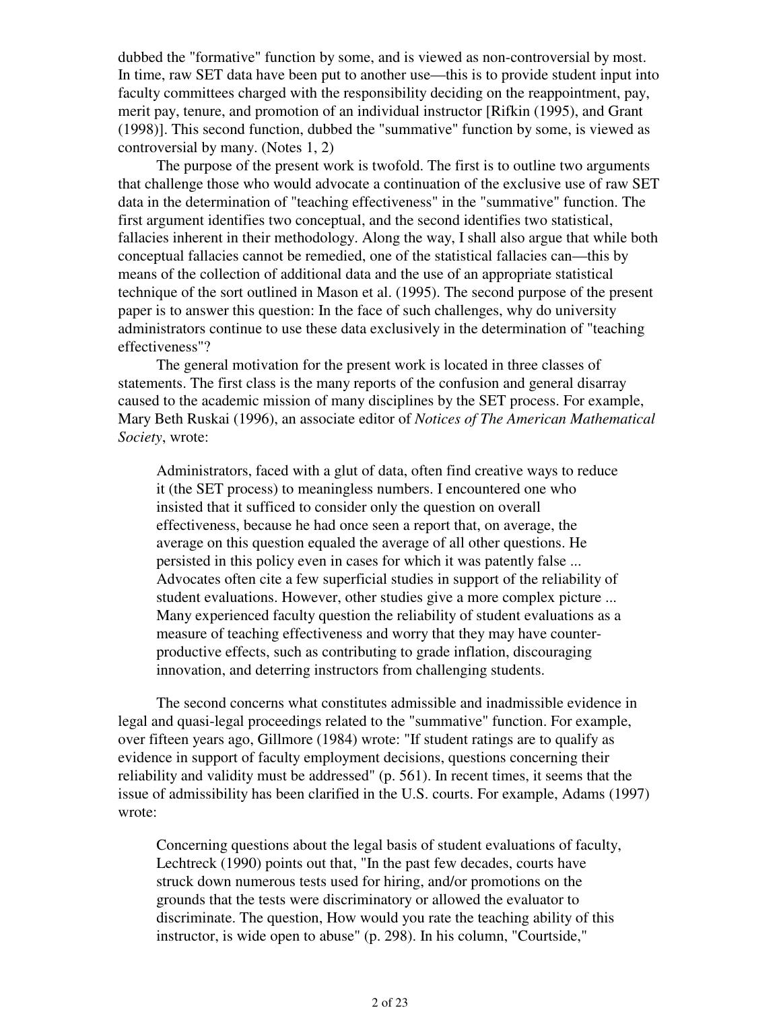dubbed the "formative" function by some, and is viewed as non-controversial by most. In time, raw SET data have been put to another use—this is to provide student input into faculty committees charged with the responsibility deciding on the reappointment, pay, merit pay, tenure, and promotion of an individual instructor [Rifkin (1995), and Grant (1998)]. This second function, dubbed the "summative" function by some, is viewed as controversial by many. (Notes 1, 2)

 The purpose of the present work is twofold. The first is to outline two arguments that challenge those who would advocate a continuation of the exclusive use of raw SET data in the determination of "teaching effectiveness" in the "summative" function. The first argument identifies two conceptual, and the second identifies two statistical, fallacies inherent in their methodology. Along the way, I shall also argue that while both conceptual fallacies cannot be remedied, one of the statistical fallacies can—this by means of the collection of additional data and the use of an appropriate statistical technique of the sort outlined in Mason et al. (1995). The second purpose of the present paper is to answer this question: In the face of such challenges, why do university administrators continue to use these data exclusively in the determination of "teaching effectiveness"?

 The general motivation for the present work is located in three classes of statements. The first class is the many reports of the confusion and general disarray caused to the academic mission of many disciplines by the SET process. For example, Mary Beth Ruskai (1996), an associate editor of *Notices of The American Mathematical Society*, wrote:

Administrators, faced with a glut of data, often find creative ways to reduce it (the SET process) to meaningless numbers. I encountered one who insisted that it sufficed to consider only the question on overall effectiveness, because he had once seen a report that, on average, the average on this question equaled the average of all other questions. He persisted in this policy even in cases for which it was patently false ... Advocates often cite a few superficial studies in support of the reliability of student evaluations. However, other studies give a more complex picture ... Many experienced faculty question the reliability of student evaluations as a measure of teaching effectiveness and worry that they may have counterproductive effects, such as contributing to grade inflation, discouraging innovation, and deterring instructors from challenging students.

 The second concerns what constitutes admissible and inadmissible evidence in legal and quasi-legal proceedings related to the "summative" function. For example, over fifteen years ago, Gillmore (1984) wrote: "If student ratings are to qualify as evidence in support of faculty employment decisions, questions concerning their reliability and validity must be addressed" (p. 561). In recent times, it seems that the issue of admissibility has been clarified in the U.S. courts. For example, Adams (1997) wrote:

Concerning questions about the legal basis of student evaluations of faculty, Lechtreck (1990) points out that, "In the past few decades, courts have struck down numerous tests used for hiring, and/or promotions on the grounds that the tests were discriminatory or allowed the evaluator to discriminate. The question, How would you rate the teaching ability of this instructor, is wide open to abuse" (p. 298). In his column, "Courtside,"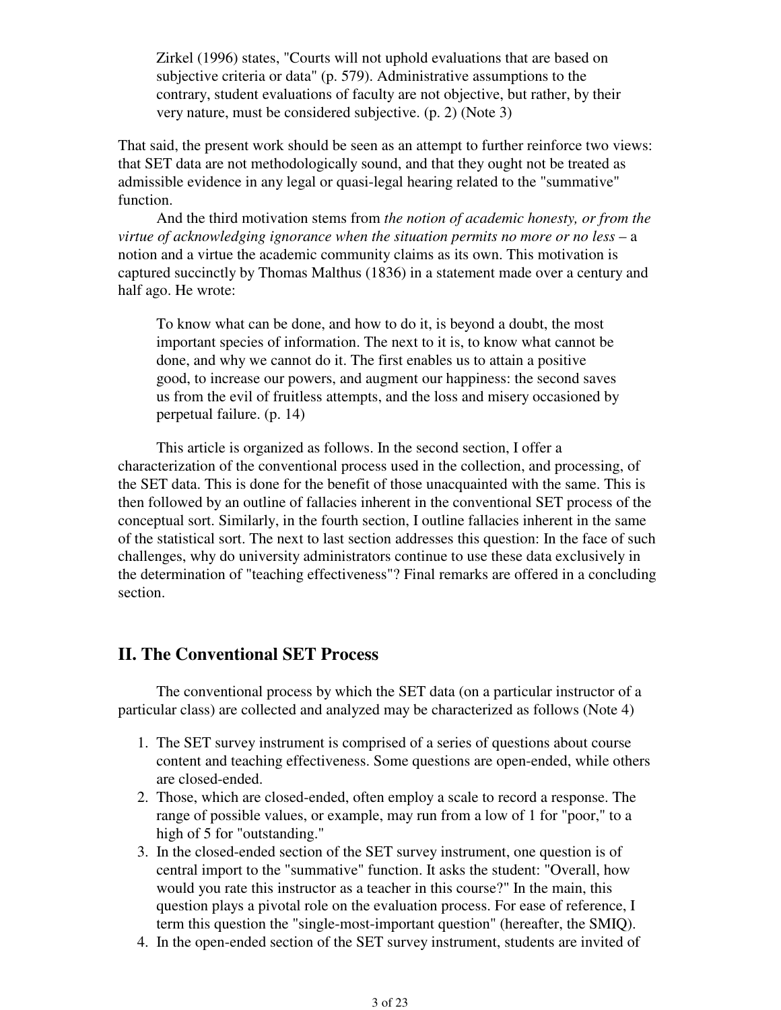Zirkel (1996) states, "Courts will not uphold evaluations that are based on subjective criteria or data" (p. 579). Administrative assumptions to the contrary, student evaluations of faculty are not objective, but rather, by their very nature, must be considered subjective. (p. 2) (Note 3)

That said, the present work should be seen as an attempt to further reinforce two views: that SET data are not methodologically sound, and that they ought not be treated as admissible evidence in any legal or quasi-legal hearing related to the "summative" function.

 And the third motivation stems from *the notion of academic honesty, or from the virtue of acknowledging ignorance when the situation permits no more or no less* – a notion and a virtue the academic community claims as its own. This motivation is captured succinctly by Thomas Malthus (1836) in a statement made over a century and half ago. He wrote:

To know what can be done, and how to do it, is beyond a doubt, the most important species of information. The next to it is, to know what cannot be done, and why we cannot do it. The first enables us to attain a positive good, to increase our powers, and augment our happiness: the second saves us from the evil of fruitless attempts, and the loss and misery occasioned by perpetual failure. (p. 14)

 This article is organized as follows. In the second section, I offer a characterization of the conventional process used in the collection, and processing, of the SET data. This is done for the benefit of those unacquainted with the same. This is then followed by an outline of fallacies inherent in the conventional SET process of the conceptual sort. Similarly, in the fourth section, I outline fallacies inherent in the same of the statistical sort. The next to last section addresses this question: In the face of such challenges, why do university administrators continue to use these data exclusively in the determination of "teaching effectiveness"? Final remarks are offered in a concluding section.

### **II. The Conventional SET Process**

 The conventional process by which the SET data (on a particular instructor of a particular class) are collected and analyzed may be characterized as follows (Note 4)

- 1. The SET survey instrument is comprised of a series of questions about course content and teaching effectiveness. Some questions are open-ended, while others are closed-ended.
- Those, which are closed-ended, often employ a scale to record a response. The 2. range of possible values, or example, may run from a low of 1 for "poor," to a high of 5 for "outstanding."
- 3. In the closed-ended section of the SET survey instrument, one question is of central import to the "summative" function. It asks the student: "Overall, how would you rate this instructor as a teacher in this course?" In the main, this question plays a pivotal role on the evaluation process. For ease of reference, I term this question the "single-most-important question" (hereafter, the SMIQ).
- 4. In the open-ended section of the SET survey instrument, students are invited of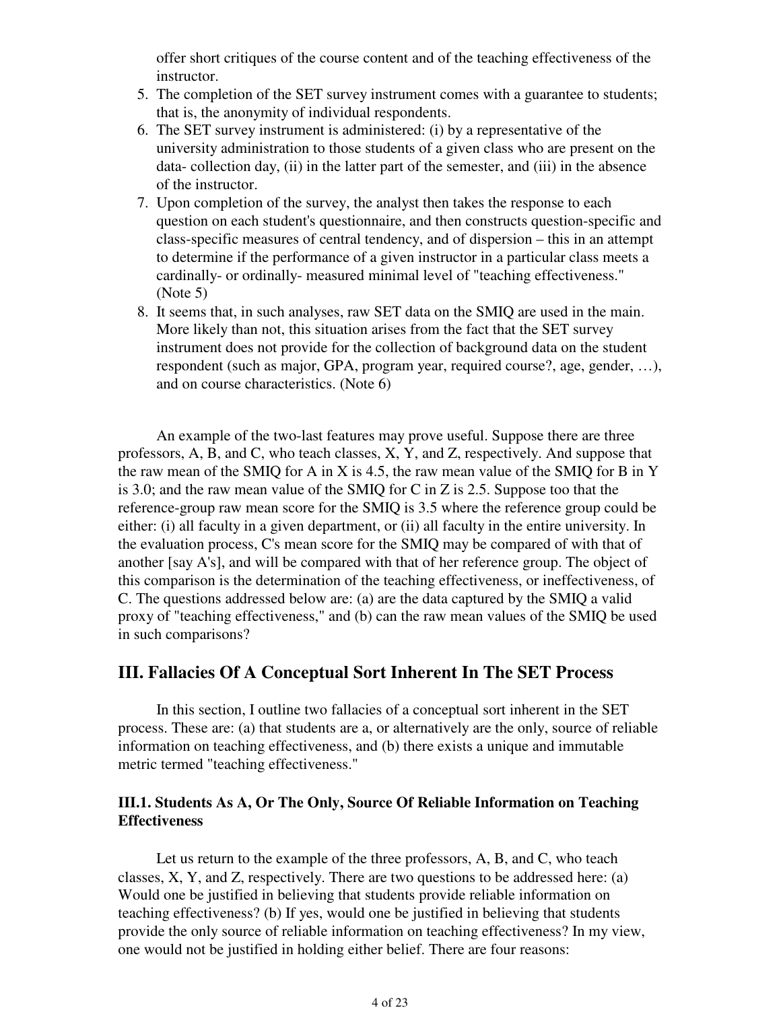offer short critiques of the course content and of the teaching effectiveness of the instructor.

- 5. The completion of the SET survey instrument comes with a guarantee to students; that is, the anonymity of individual respondents.
- The SET survey instrument is administered: (i) by a representative of the 6. university administration to those students of a given class who are present on the data- collection day, (ii) in the latter part of the semester, and (iii) in the absence of the instructor.
- 7. Upon completion of the survey, the analyst then takes the response to each question on each student's questionnaire, and then constructs question-specific and class-specific measures of central tendency, and of dispersion – this in an attempt to determine if the performance of a given instructor in a particular class meets a cardinally- or ordinally- measured minimal level of "teaching effectiveness." (Note 5)
- 8. It seems that, in such analyses, raw SET data on the SMIQ are used in the main. More likely than not, this situation arises from the fact that the SET survey instrument does not provide for the collection of background data on the student respondent (such as major, GPA, program year, required course?, age, gender, …), and on course characteristics. (Note 6)

 An example of the two-last features may prove useful. Suppose there are three professors, A, B, and C, who teach classes, X, Y, and Z, respectively. And suppose that the raw mean of the SMIQ for A in X is 4.5, the raw mean value of the SMIQ for B in Y is 3.0; and the raw mean value of the SMIQ for C in Z is 2.5. Suppose too that the reference-group raw mean score for the SMIQ is 3.5 where the reference group could be either: (i) all faculty in a given department, or (ii) all faculty in the entire university. In the evaluation process, C's mean score for the SMIQ may be compared of with that of another [say A's], and will be compared with that of her reference group. The object of this comparison is the determination of the teaching effectiveness, or ineffectiveness, of C. The questions addressed below are: (a) are the data captured by the SMIQ a valid proxy of "teaching effectiveness," and (b) can the raw mean values of the SMIQ be used in such comparisons?

### **III. Fallacies Of A Conceptual Sort Inherent In The SET Process**

 In this section, I outline two fallacies of a conceptual sort inherent in the SET process. These are: (a) that students are a, or alternatively are the only, source of reliable information on teaching effectiveness, and (b) there exists a unique and immutable metric termed "teaching effectiveness."

### **III.1. Students As A, Or The Only, Source Of Reliable Information on Teaching Effectiveness**

 Let us return to the example of the three professors, A, B, and C, who teach classes, X, Y, and Z, respectively. There are two questions to be addressed here: (a) Would one be justified in believing that students provide reliable information on teaching effectiveness? (b) If yes, would one be justified in believing that students provide the only source of reliable information on teaching effectiveness? In my view, one would not be justified in holding either belief. There are four reasons: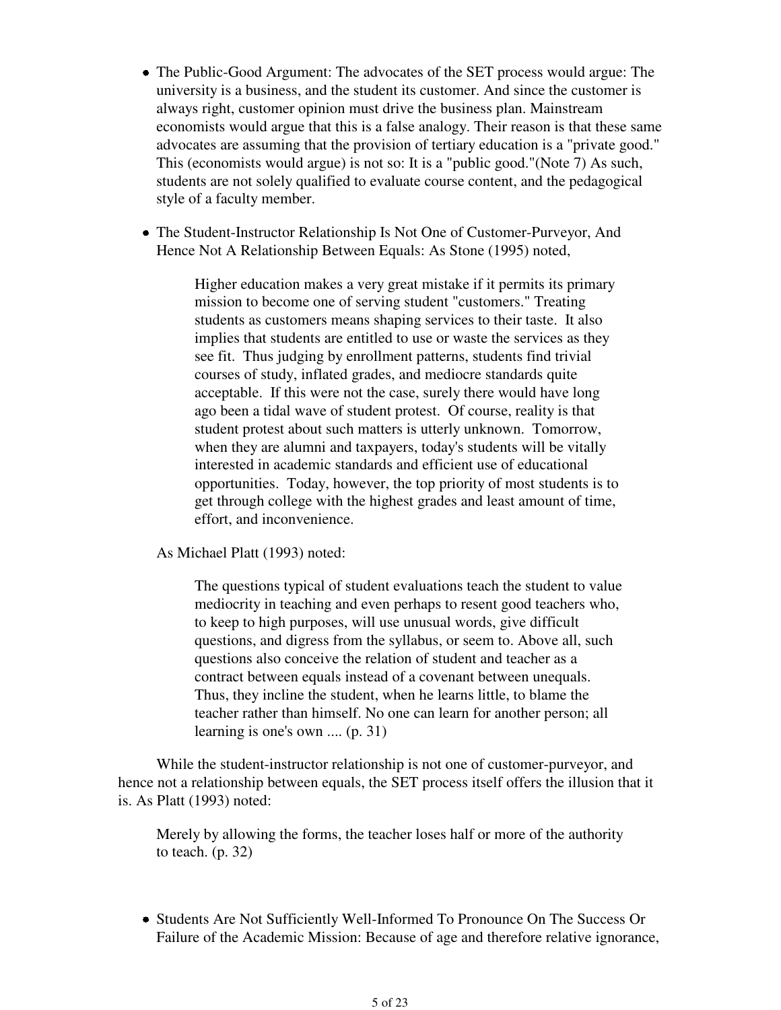- The Public-Good Argument: The advocates of the SET process would argue: The university is a business, and the student its customer. And since the customer is always right, customer opinion must drive the business plan. Mainstream economists would argue that this is a false analogy. Their reason is that these same advocates are assuming that the provision of tertiary education is a "private good." This (economists would argue) is not so: It is a "public good."(Note 7) As such, students are not solely qualified to evaluate course content, and the pedagogical style of a faculty member.
- The Student-Instructor Relationship Is Not One of Customer-Purveyor, And Hence Not A Relationship Between Equals: As Stone (1995) noted,

Higher education makes a very great mistake if it permits its primary mission to become one of serving student "customers." Treating students as customers means shaping services to their taste. It also implies that students are entitled to use or waste the services as they see fit. Thus judging by enrollment patterns, students find trivial courses of study, inflated grades, and mediocre standards quite acceptable. If this were not the case, surely there would have long ago been a tidal wave of student protest. Of course, reality is that student protest about such matters is utterly unknown. Tomorrow, when they are alumni and taxpayers, today's students will be vitally interested in academic standards and efficient use of educational opportunities. Today, however, the top priority of most students is to get through college with the highest grades and least amount of time, effort, and inconvenience.

As Michael Platt (1993) noted:

The questions typical of student evaluations teach the student to value mediocrity in teaching and even perhaps to resent good teachers who, to keep to high purposes, will use unusual words, give difficult questions, and digress from the syllabus, or seem to. Above all, such questions also conceive the relation of student and teacher as a contract between equals instead of a covenant between unequals. Thus, they incline the student, when he learns little, to blame the teacher rather than himself. No one can learn for another person; all learning is one's own .... (p. 31)

 While the student-instructor relationship is not one of customer-purveyor, and hence not a relationship between equals, the SET process itself offers the illusion that it is. As Platt (1993) noted:

Merely by allowing the forms, the teacher loses half or more of the authority to teach. (p. 32)

Students Are Not Sufficiently Well-Informed To Pronounce On The Success Or Failure of the Academic Mission: Because of age and therefore relative ignorance,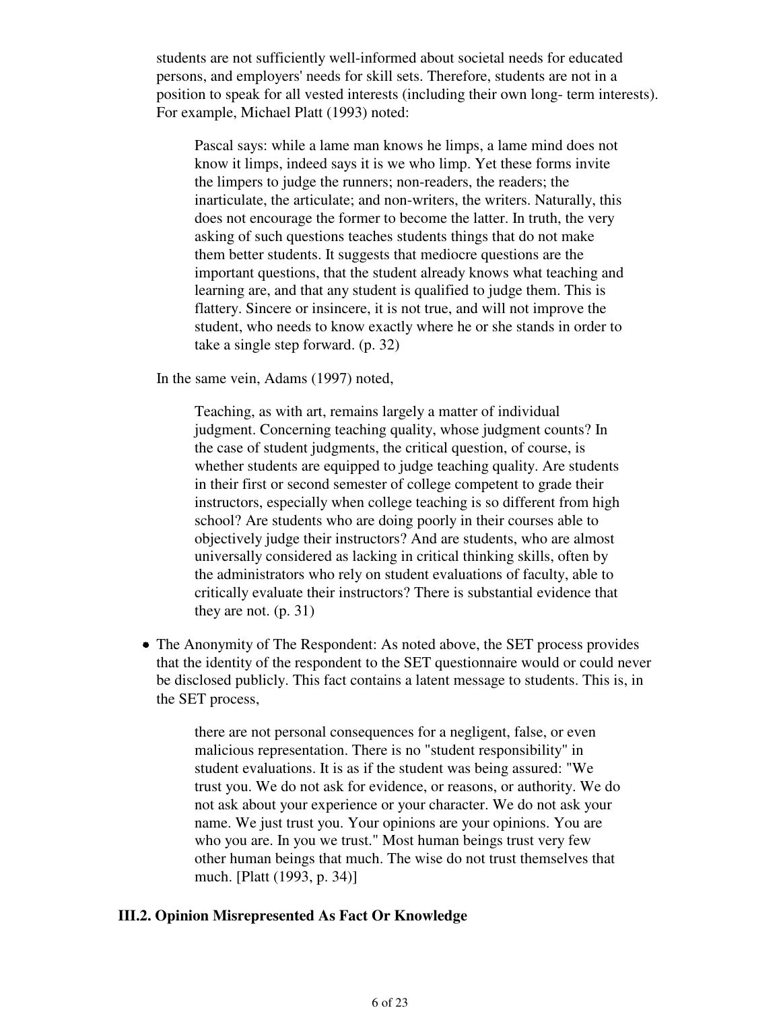students are not sufficiently well-informed about societal needs for educated persons, and employers' needs for skill sets. Therefore, students are not in a position to speak for all vested interests (including their own long- term interests). For example, Michael Platt (1993) noted:

Pascal says: while a lame man knows he limps, a lame mind does not know it limps, indeed says it is we who limp. Yet these forms invite the limpers to judge the runners; non-readers, the readers; the inarticulate, the articulate; and non-writers, the writers. Naturally, this does not encourage the former to become the latter. In truth, the very asking of such questions teaches students things that do not make them better students. It suggests that mediocre questions are the important questions, that the student already knows what teaching and learning are, and that any student is qualified to judge them. This is flattery. Sincere or insincere, it is not true, and will not improve the student, who needs to know exactly where he or she stands in order to take a single step forward. (p. 32)

In the same vein, Adams (1997) noted,

Teaching, as with art, remains largely a matter of individual judgment. Concerning teaching quality, whose judgment counts? In the case of student judgments, the critical question, of course, is whether students are equipped to judge teaching quality. Are students in their first or second semester of college competent to grade their instructors, especially when college teaching is so different from high school? Are students who are doing poorly in their courses able to objectively judge their instructors? And are students, who are almost universally considered as lacking in critical thinking skills, often by the administrators who rely on student evaluations of faculty, able to critically evaluate their instructors? There is substantial evidence that they are not. (p. 31)

The Anonymity of The Respondent: As noted above, the SET process provides that the identity of the respondent to the SET questionnaire would or could never be disclosed publicly. This fact contains a latent message to students. This is, in the SET process,

> there are not personal consequences for a negligent, false, or even malicious representation. There is no "student responsibility" in student evaluations. It is as if the student was being assured: "We trust you. We do not ask for evidence, or reasons, or authority. We do not ask about your experience or your character. We do not ask your name. We just trust you. Your opinions are your opinions. You are who you are. In you we trust." Most human beings trust very few other human beings that much. The wise do not trust themselves that much. [Platt (1993, p. 34)]

### **III.2. Opinion Misrepresented As Fact Or Knowledge**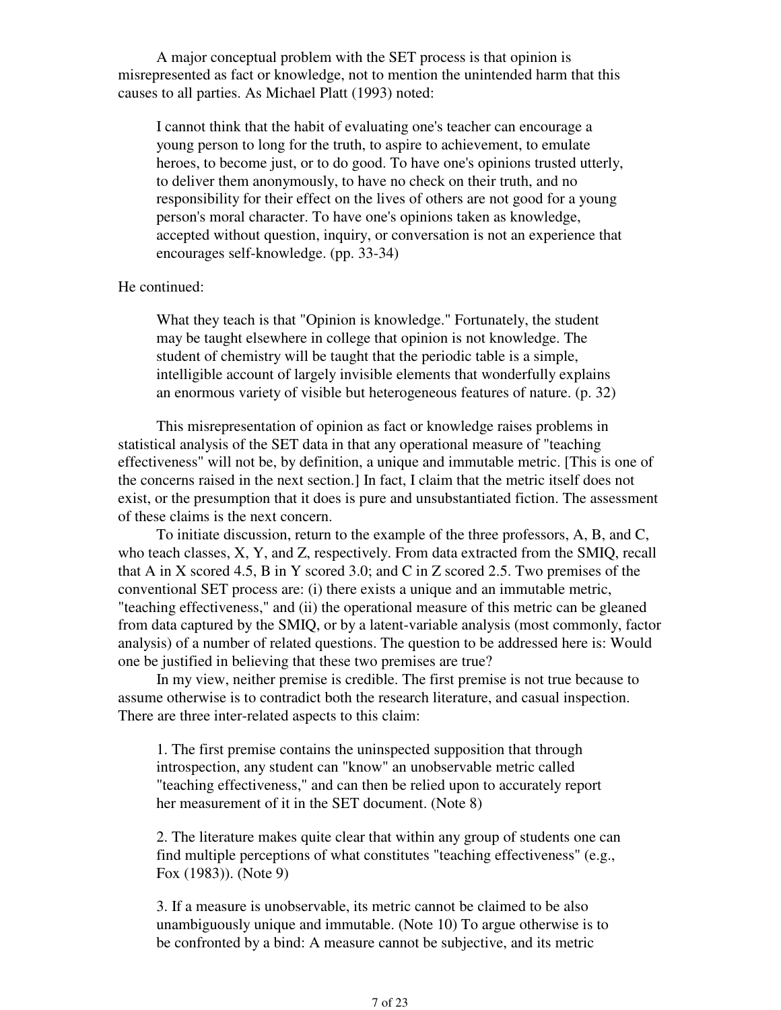A major conceptual problem with the SET process is that opinion is misrepresented as fact or knowledge, not to mention the unintended harm that this causes to all parties. As Michael Platt (1993) noted:

I cannot think that the habit of evaluating one's teacher can encourage a young person to long for the truth, to aspire to achievement, to emulate heroes, to become just, or to do good. To have one's opinions trusted utterly, to deliver them anonymously, to have no check on their truth, and no responsibility for their effect on the lives of others are not good for a young person's moral character. To have one's opinions taken as knowledge, accepted without question, inquiry, or conversation is not an experience that encourages self-knowledge. (pp. 33-34)

### He continued:

What they teach is that "Opinion is knowledge." Fortunately, the student may be taught elsewhere in college that opinion is not knowledge. The student of chemistry will be taught that the periodic table is a simple, intelligible account of largely invisible elements that wonderfully explains an enormous variety of visible but heterogeneous features of nature. (p. 32)

 This misrepresentation of opinion as fact or knowledge raises problems in statistical analysis of the SET data in that any operational measure of "teaching effectiveness" will not be, by definition, a unique and immutable metric. [This is one of the concerns raised in the next section.] In fact, I claim that the metric itself does not exist, or the presumption that it does is pure and unsubstantiated fiction. The assessment of these claims is the next concern.

 To initiate discussion, return to the example of the three professors, A, B, and C, who teach classes, X, Y, and Z, respectively. From data extracted from the SMIQ, recall that A in X scored 4.5, B in Y scored 3.0; and C in Z scored 2.5. Two premises of the conventional SET process are: (i) there exists a unique and an immutable metric, "teaching effectiveness," and (ii) the operational measure of this metric can be gleaned from data captured by the SMIQ, or by a latent-variable analysis (most commonly, factor analysis) of a number of related questions. The question to be addressed here is: Would one be justified in believing that these two premises are true?

 In my view, neither premise is credible. The first premise is not true because to assume otherwise is to contradict both the research literature, and casual inspection. There are three inter-related aspects to this claim:

1. The first premise contains the uninspected supposition that through introspection, any student can "know" an unobservable metric called "teaching effectiveness," and can then be relied upon to accurately report her measurement of it in the SET document. (Note 8)

2. The literature makes quite clear that within any group of students one can find multiple perceptions of what constitutes "teaching effectiveness" (e.g., Fox (1983)). (Note 9)

3. If a measure is unobservable, its metric cannot be claimed to be also unambiguously unique and immutable. (Note 10) To argue otherwise is to be confronted by a bind: A measure cannot be subjective, and its metric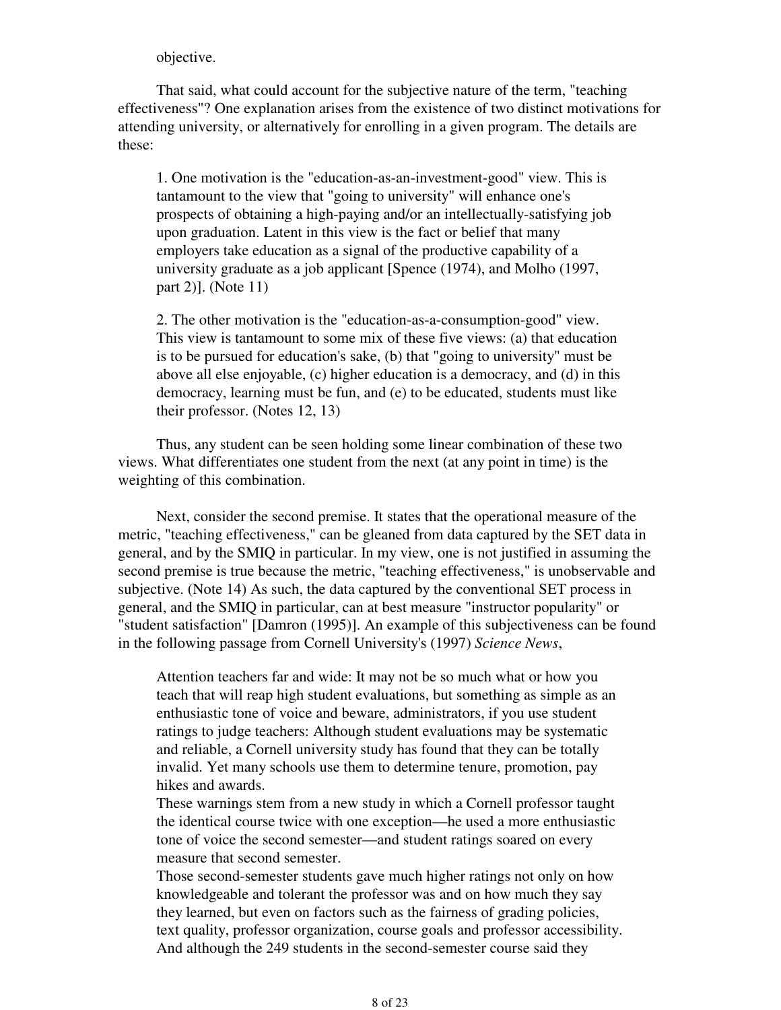objective.

 That said, what could account for the subjective nature of the term, "teaching effectiveness"? One explanation arises from the existence of two distinct motivations for attending university, or alternatively for enrolling in a given program. The details are these:

1. One motivation is the "education-as-an-investment-good" view. This is tantamount to the view that "going to university" will enhance one's prospects of obtaining a high-paying and/or an intellectually-satisfying job upon graduation. Latent in this view is the fact or belief that many employers take education as a signal of the productive capability of a university graduate as a job applicant [Spence (1974), and Molho (1997, part 2)]. (Note 11)

2. The other motivation is the "education-as-a-consumption-good" view. This view is tantamount to some mix of these five views: (a) that education is to be pursued for education's sake, (b) that "going to university" must be above all else enjoyable, (c) higher education is a democracy, and (d) in this democracy, learning must be fun, and (e) to be educated, students must like their professor. (Notes 12, 13)

 Thus, any student can be seen holding some linear combination of these two views. What differentiates one student from the next (at any point in time) is the weighting of this combination.

 Next, consider the second premise. It states that the operational measure of the metric, "teaching effectiveness," can be gleaned from data captured by the SET data in general, and by the SMIQ in particular. In my view, one is not justified in assuming the second premise is true because the metric, "teaching effectiveness," is unobservable and subjective. (Note 14) As such, the data captured by the conventional SET process in general, and the SMIQ in particular, can at best measure "instructor popularity" or "student satisfaction" [Damron (1995)]. An example of this subjectiveness can be found in the following passage from Cornell University's (1997) *Science News*,

Attention teachers far and wide: It may not be so much what or how you teach that will reap high student evaluations, but something as simple as an enthusiastic tone of voice and beware, administrators, if you use student ratings to judge teachers: Although student evaluations may be systematic and reliable, a Cornell university study has found that they can be totally invalid. Yet many schools use them to determine tenure, promotion, pay hikes and awards.

These warnings stem from a new study in which a Cornell professor taught the identical course twice with one exception—he used a more enthusiastic tone of voice the second semester—and student ratings soared on every measure that second semester.

Those second-semester students gave much higher ratings not only on how knowledgeable and tolerant the professor was and on how much they say they learned, but even on factors such as the fairness of grading policies, text quality, professor organization, course goals and professor accessibility. And although the 249 students in the second-semester course said they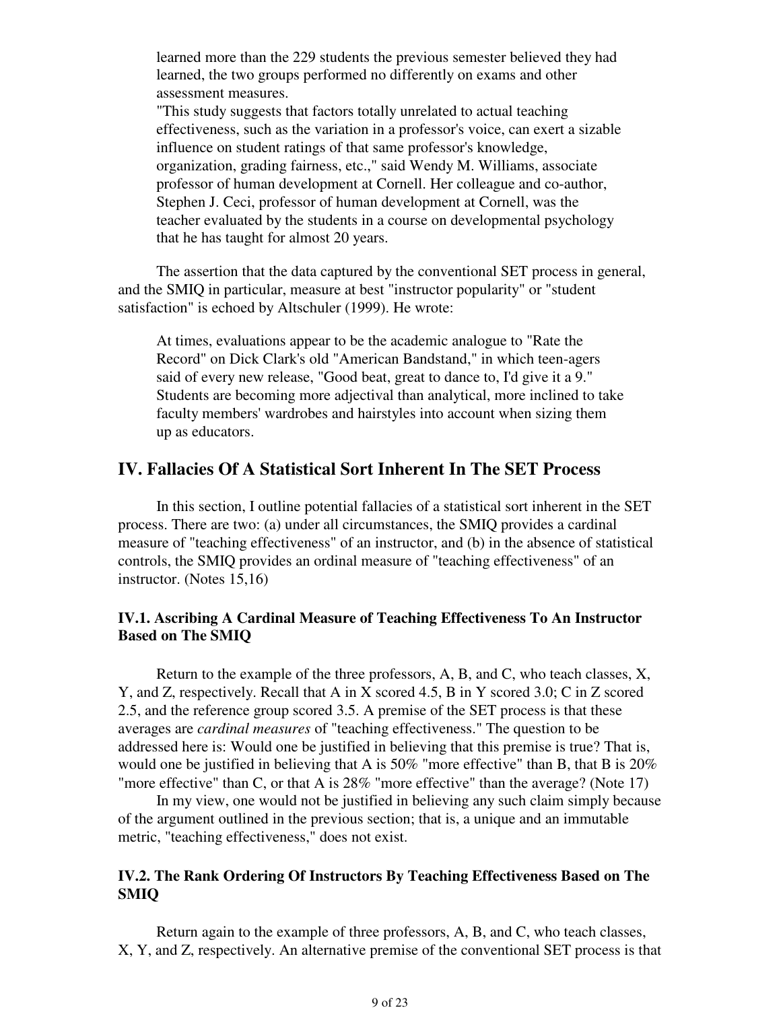learned more than the 229 students the previous semester believed they had learned, the two groups performed no differently on exams and other assessment measures.

"This study suggests that factors totally unrelated to actual teaching effectiveness, such as the variation in a professor's voice, can exert a sizable influence on student ratings of that same professor's knowledge, organization, grading fairness, etc.," said Wendy M. Williams, associate professor of human development at Cornell. Her colleague and co-author, Stephen J. Ceci, professor of human development at Cornell, was the teacher evaluated by the students in a course on developmental psychology that he has taught for almost 20 years.

 The assertion that the data captured by the conventional SET process in general, and the SMIQ in particular, measure at best "instructor popularity" or "student satisfaction" is echoed by Altschuler (1999). He wrote:

At times, evaluations appear to be the academic analogue to "Rate the Record" on Dick Clark's old "American Bandstand," in which teen-agers said of every new release, "Good beat, great to dance to, I'd give it a 9." Students are becoming more adjectival than analytical, more inclined to take faculty members' wardrobes and hairstyles into account when sizing them up as educators.

### **IV. Fallacies Of A Statistical Sort Inherent In The SET Process**

 In this section, I outline potential fallacies of a statistical sort inherent in the SET process. There are two: (a) under all circumstances, the SMIQ provides a cardinal measure of "teaching effectiveness" of an instructor, and (b) in the absence of statistical controls, the SMIQ provides an ordinal measure of "teaching effectiveness" of an instructor. (Notes 15,16)

### **IV.1. Ascribing A Cardinal Measure of Teaching Effectiveness To An Instructor Based on The SMIQ**

 Return to the example of the three professors, A, B, and C, who teach classes, X, Y, and Z, respectively. Recall that A in X scored 4.5, B in Y scored 3.0; C in Z scored 2.5, and the reference group scored 3.5. A premise of the SET process is that these averages are *cardinal measures* of "teaching effectiveness." The question to be addressed here is: Would one be justified in believing that this premise is true? That is, would one be justified in believing that A is 50% "more effective" than B, that B is 20% "more effective" than C, or that A is 28% "more effective" than the average? (Note 17)

 In my view, one would not be justified in believing any such claim simply because of the argument outlined in the previous section; that is, a unique and an immutable metric, "teaching effectiveness," does not exist.

### **IV.2. The Rank Ordering Of Instructors By Teaching Effectiveness Based on The SMIQ**

 Return again to the example of three professors, A, B, and C, who teach classes, X, Y, and Z, respectively. An alternative premise of the conventional SET process is that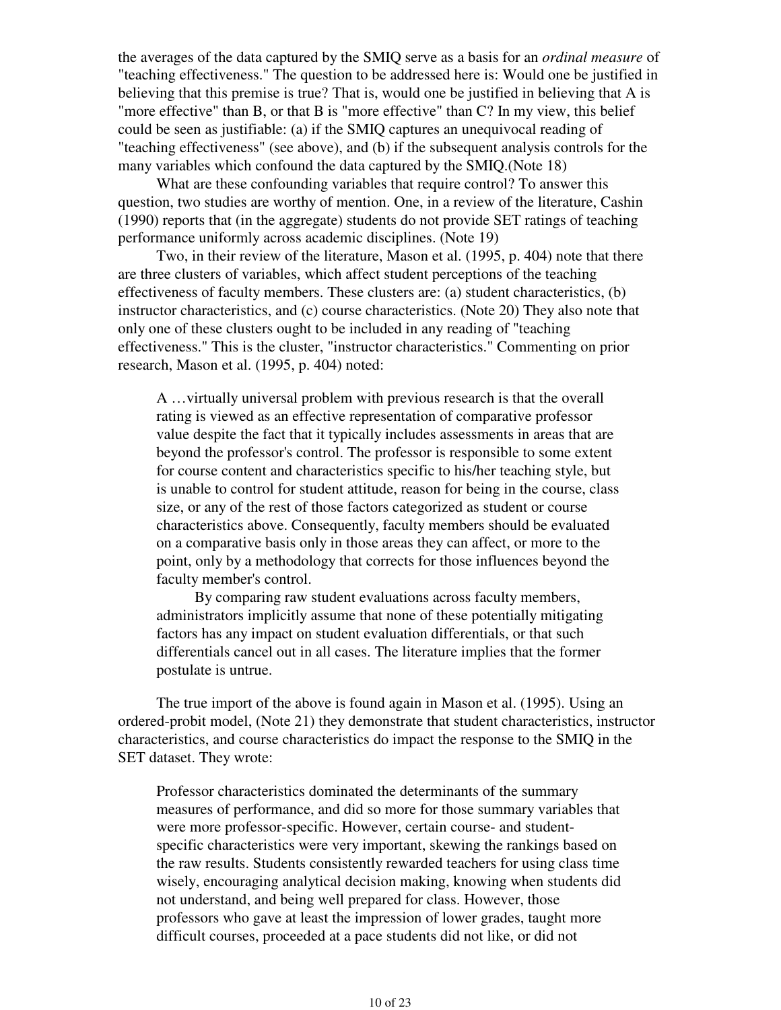the averages of the data captured by the SMIQ serve as a basis for an *ordinal measure* of "teaching effectiveness." The question to be addressed here is: Would one be justified in believing that this premise is true? That is, would one be justified in believing that A is "more effective" than B, or that B is "more effective" than C? In my view, this belief could be seen as justifiable: (a) if the SMIQ captures an unequivocal reading of "teaching effectiveness" (see above), and (b) if the subsequent analysis controls for the many variables which confound the data captured by the SMIQ.(Note 18)

 What are these confounding variables that require control? To answer this question, two studies are worthy of mention. One, in a review of the literature, Cashin (1990) reports that (in the aggregate) students do not provide SET ratings of teaching performance uniformly across academic disciplines. (Note 19)

 Two, in their review of the literature, Mason et al. (1995, p. 404) note that there are three clusters of variables, which affect student perceptions of the teaching effectiveness of faculty members. These clusters are: (a) student characteristics, (b) instructor characteristics, and (c) course characteristics. (Note 20) They also note that only one of these clusters ought to be included in any reading of "teaching effectiveness." This is the cluster, "instructor characteristics." Commenting on prior research, Mason et al. (1995, p. 404) noted:

A …virtually universal problem with previous research is that the overall rating is viewed as an effective representation of comparative professor value despite the fact that it typically includes assessments in areas that are beyond the professor's control. The professor is responsible to some extent for course content and characteristics specific to his/her teaching style, but is unable to control for student attitude, reason for being in the course, class size, or any of the rest of those factors categorized as student or course characteristics above. Consequently, faculty members should be evaluated on a comparative basis only in those areas they can affect, or more to the point, only by a methodology that corrects for those influences beyond the faculty member's control.

 By comparing raw student evaluations across faculty members, administrators implicitly assume that none of these potentially mitigating factors has any impact on student evaluation differentials, or that such differentials cancel out in all cases. The literature implies that the former postulate is untrue.

 The true import of the above is found again in Mason et al. (1995). Using an ordered-probit model, (Note 21) they demonstrate that student characteristics, instructor characteristics, and course characteristics do impact the response to the SMIQ in the SET dataset. They wrote:

Professor characteristics dominated the determinants of the summary measures of performance, and did so more for those summary variables that were more professor-specific. However, certain course- and studentspecific characteristics were very important, skewing the rankings based on the raw results. Students consistently rewarded teachers for using class time wisely, encouraging analytical decision making, knowing when students did not understand, and being well prepared for class. However, those professors who gave at least the impression of lower grades, taught more difficult courses, proceeded at a pace students did not like, or did not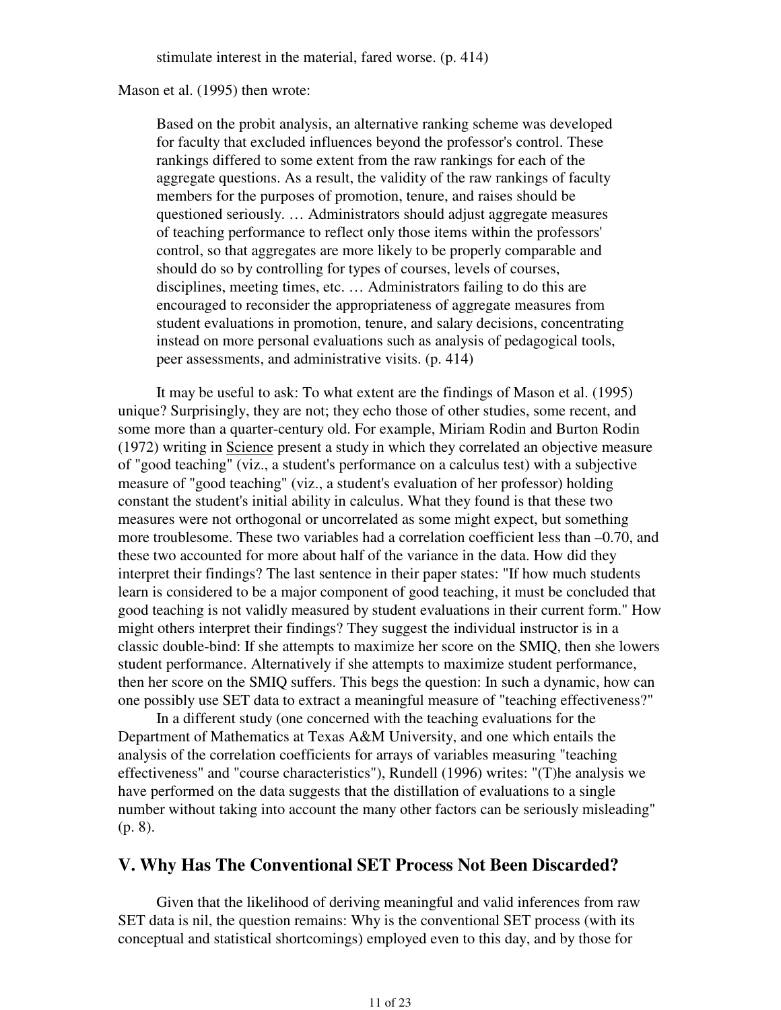stimulate interest in the material, fared worse. (p. 414)

### Mason et al. (1995) then wrote:

Based on the probit analysis, an alternative ranking scheme was developed for faculty that excluded influences beyond the professor's control. These rankings differed to some extent from the raw rankings for each of the aggregate questions. As a result, the validity of the raw rankings of faculty members for the purposes of promotion, tenure, and raises should be questioned seriously. … Administrators should adjust aggregate measures of teaching performance to reflect only those items within the professors' control, so that aggregates are more likely to be properly comparable and should do so by controlling for types of courses, levels of courses, disciplines, meeting times, etc. … Administrators failing to do this are encouraged to reconsider the appropriateness of aggregate measures from student evaluations in promotion, tenure, and salary decisions, concentrating instead on more personal evaluations such as analysis of pedagogical tools, peer assessments, and administrative visits. (p. 414)

 It may be useful to ask: To what extent are the findings of Mason et al. (1995) unique? Surprisingly, they are not; they echo those of other studies, some recent, and some more than a quarter-century old. For example, Miriam Rodin and Burton Rodin (1972) writing in Science present a study in which they correlated an objective measure of "good teaching" (viz., a student's performance on a calculus test) with a subjective measure of "good teaching" (viz., a student's evaluation of her professor) holding constant the student's initial ability in calculus. What they found is that these two measures were not orthogonal or uncorrelated as some might expect, but something more troublesome. These two variables had a correlation coefficient less than –0.70, and these two accounted for more about half of the variance in the data. How did they interpret their findings? The last sentence in their paper states: "If how much students learn is considered to be a major component of good teaching, it must be concluded that good teaching is not validly measured by student evaluations in their current form." How might others interpret their findings? They suggest the individual instructor is in a classic double-bind: If she attempts to maximize her score on the SMIQ, then she lowers student performance. Alternatively if she attempts to maximize student performance, then her score on the SMIQ suffers. This begs the question: In such a dynamic, how can one possibly use SET data to extract a meaningful measure of "teaching effectiveness?"

 In a different study (one concerned with the teaching evaluations for the Department of Mathematics at Texas A&M University, and one which entails the analysis of the correlation coefficients for arrays of variables measuring "teaching effectiveness" and "course characteristics"), Rundell (1996) writes: "(T)he analysis we have performed on the data suggests that the distillation of evaluations to a single number without taking into account the many other factors can be seriously misleading" (p. 8).

# **V. Why Has The Conventional SET Process Not Been Discarded?**

 Given that the likelihood of deriving meaningful and valid inferences from raw SET data is nil, the question remains: Why is the conventional SET process (with its conceptual and statistical shortcomings) employed even to this day, and by those for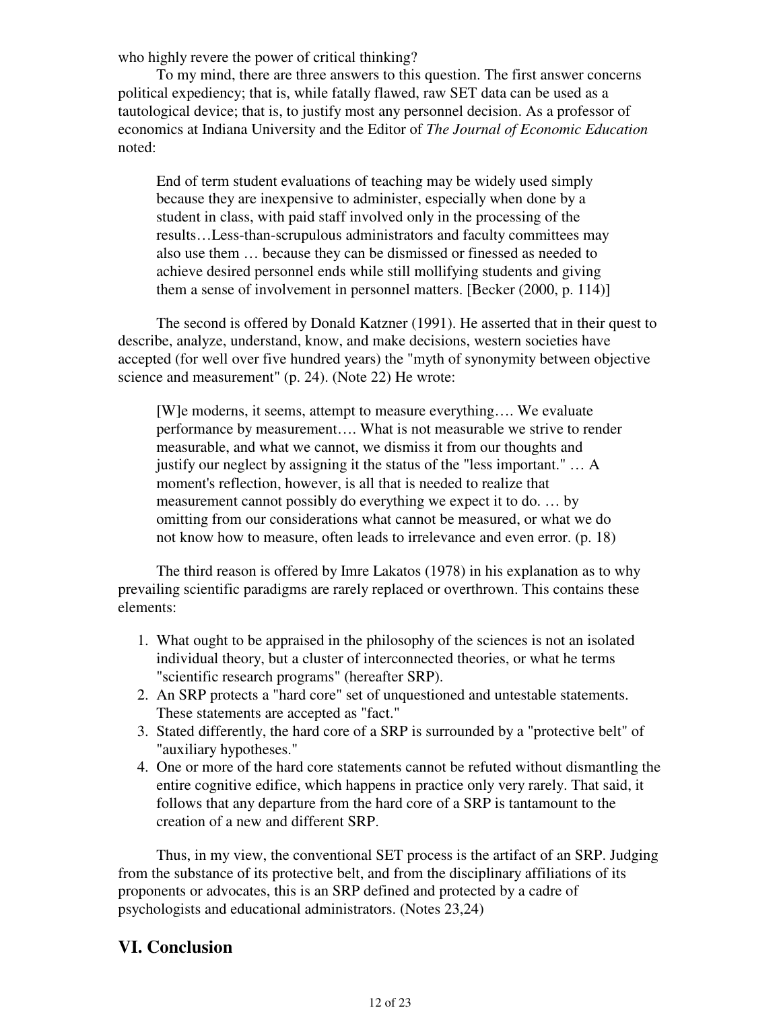who highly revere the power of critical thinking?

 To my mind, there are three answers to this question. The first answer concerns political expediency; that is, while fatally flawed, raw SET data can be used as a tautological device; that is, to justify most any personnel decision. As a professor of economics at Indiana University and the Editor of *The Journal of Economic Education* noted:

End of term student evaluations of teaching may be widely used simply because they are inexpensive to administer, especially when done by a student in class, with paid staff involved only in the processing of the results…Less-than-scrupulous administrators and faculty committees may also use them … because they can be dismissed or finessed as needed to achieve desired personnel ends while still mollifying students and giving them a sense of involvement in personnel matters. [Becker (2000, p. 114)]

 The second is offered by Donald Katzner (1991). He asserted that in their quest to describe, analyze, understand, know, and make decisions, western societies have accepted (for well over five hundred years) the "myth of synonymity between objective science and measurement" (p. 24). (Note 22) He wrote:

[W]e moderns, it seems, attempt to measure everything…. We evaluate performance by measurement…. What is not measurable we strive to render measurable, and what we cannot, we dismiss it from our thoughts and justify our neglect by assigning it the status of the "less important." … A moment's reflection, however, is all that is needed to realize that measurement cannot possibly do everything we expect it to do. … by omitting from our considerations what cannot be measured, or what we do not know how to measure, often leads to irrelevance and even error. (p. 18)

 The third reason is offered by Imre Lakatos (1978) in his explanation as to why prevailing scientific paradigms are rarely replaced or overthrown. This contains these elements:

- What ought to be appraised in the philosophy of the sciences is not an isolated 1. individual theory, but a cluster of interconnected theories, or what he terms "scientific research programs" (hereafter SRP).
- 2. An SRP protects a "hard core" set of unquestioned and untestable statements. These statements are accepted as "fact."
- Stated differently, the hard core of a SRP is surrounded by a "protective belt" of 3. "auxiliary hypotheses."
- One or more of the hard core statements cannot be refuted without dismantling the 4. entire cognitive edifice, which happens in practice only very rarely. That said, it follows that any departure from the hard core of a SRP is tantamount to the creation of a new and different SRP.

 Thus, in my view, the conventional SET process is the artifact of an SRP. Judging from the substance of its protective belt, and from the disciplinary affiliations of its proponents or advocates, this is an SRP defined and protected by a cadre of psychologists and educational administrators. (Notes 23,24)

# **VI. Conclusion**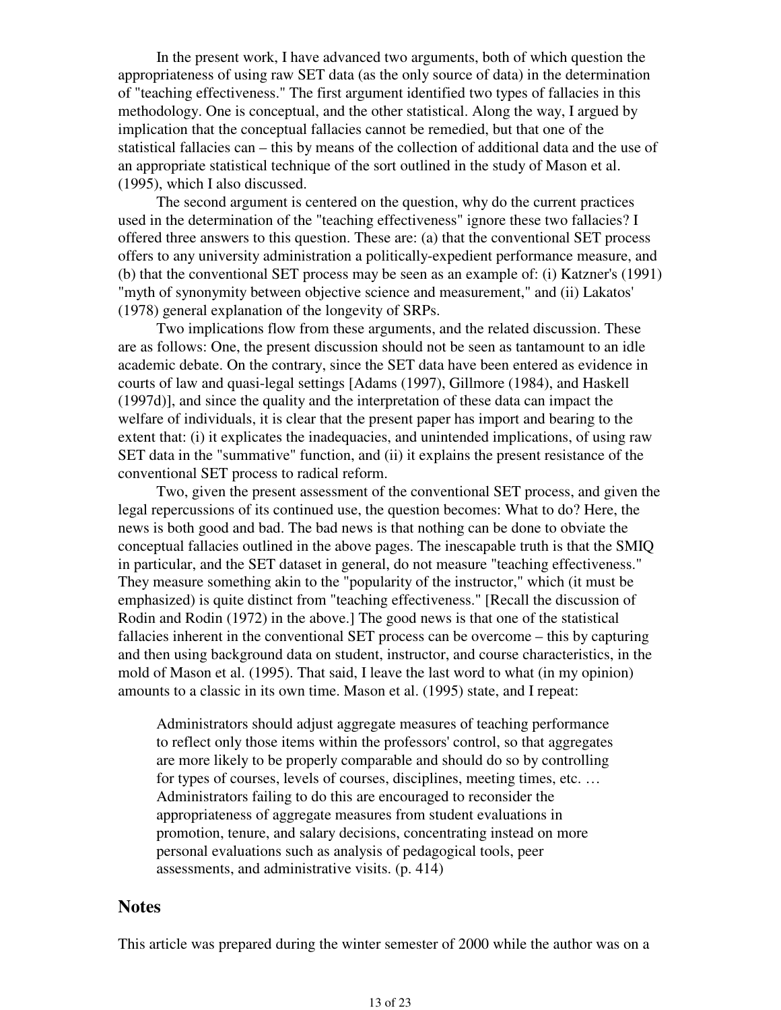In the present work, I have advanced two arguments, both of which question the appropriateness of using raw SET data (as the only source of data) in the determination of "teaching effectiveness." The first argument identified two types of fallacies in this methodology. One is conceptual, and the other statistical. Along the way, I argued by implication that the conceptual fallacies cannot be remedied, but that one of the statistical fallacies can – this by means of the collection of additional data and the use of an appropriate statistical technique of the sort outlined in the study of Mason et al. (1995), which I also discussed.

 The second argument is centered on the question, why do the current practices used in the determination of the "teaching effectiveness" ignore these two fallacies? I offered three answers to this question. These are: (a) that the conventional SET process offers to any university administration a politically-expedient performance measure, and (b) that the conventional SET process may be seen as an example of: (i) Katzner's (1991) "myth of synonymity between objective science and measurement," and (ii) Lakatos' (1978) general explanation of the longevity of SRPs.

 Two implications flow from these arguments, and the related discussion. These are as follows: One, the present discussion should not be seen as tantamount to an idle academic debate. On the contrary, since the SET data have been entered as evidence in courts of law and quasi-legal settings [Adams (1997), Gillmore (1984), and Haskell (1997d)], and since the quality and the interpretation of these data can impact the welfare of individuals, it is clear that the present paper has import and bearing to the extent that: (i) it explicates the inadequacies, and unintended implications, of using raw SET data in the "summative" function, and (ii) it explains the present resistance of the conventional SET process to radical reform.

 Two, given the present assessment of the conventional SET process, and given the legal repercussions of its continued use, the question becomes: What to do? Here, the news is both good and bad. The bad news is that nothing can be done to obviate the conceptual fallacies outlined in the above pages. The inescapable truth is that the SMIQ in particular, and the SET dataset in general, do not measure "teaching effectiveness." They measure something akin to the "popularity of the instructor," which (it must be emphasized) is quite distinct from "teaching effectiveness." [Recall the discussion of Rodin and Rodin (1972) in the above.] The good news is that one of the statistical fallacies inherent in the conventional SET process can be overcome – this by capturing and then using background data on student, instructor, and course characteristics, in the mold of Mason et al. (1995). That said, I leave the last word to what (in my opinion) amounts to a classic in its own time. Mason et al. (1995) state, and I repeat:

Administrators should adjust aggregate measures of teaching performance to reflect only those items within the professors' control, so that aggregates are more likely to be properly comparable and should do so by controlling for types of courses, levels of courses, disciplines, meeting times, etc. … Administrators failing to do this are encouraged to reconsider the appropriateness of aggregate measures from student evaluations in promotion, tenure, and salary decisions, concentrating instead on more personal evaluations such as analysis of pedagogical tools, peer assessments, and administrative visits. (p. 414)

### **Notes**

This article was prepared during the winter semester of 2000 while the author was on a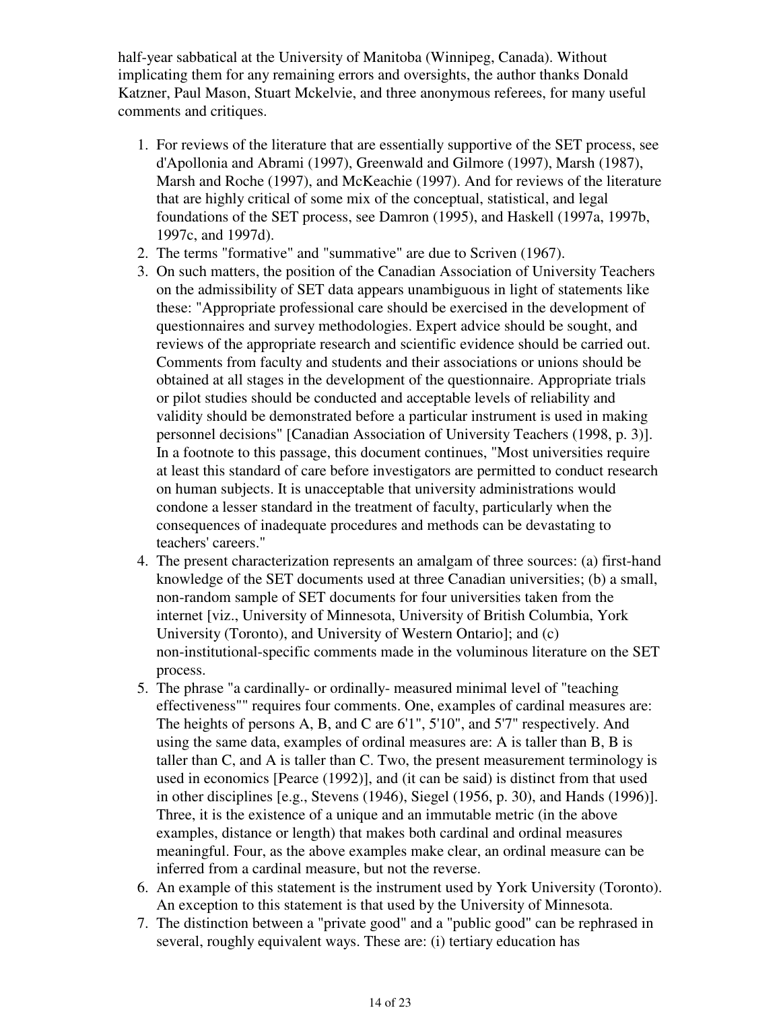half-year sabbatical at the University of Manitoba (Winnipeg, Canada). Without implicating them for any remaining errors and oversights, the author thanks Donald Katzner, Paul Mason, Stuart Mckelvie, and three anonymous referees, for many useful comments and critiques.

- 1. For reviews of the literature that are essentially supportive of the SET process, see d'Apollonia and Abrami (1997), Greenwald and Gilmore (1997), Marsh (1987), Marsh and Roche (1997), and McKeachie (1997). And for reviews of the literature that are highly critical of some mix of the conceptual, statistical, and legal foundations of the SET process, see Damron (1995), and Haskell (1997a, 1997b, 1997c, and 1997d).
- 2. The terms "formative" and "summative" are due to Scriven (1967).
- On such matters, the position of the Canadian Association of University Teachers 3. on the admissibility of SET data appears unambiguous in light of statements like these: "Appropriate professional care should be exercised in the development of questionnaires and survey methodologies. Expert advice should be sought, and reviews of the appropriate research and scientific evidence should be carried out. Comments from faculty and students and their associations or unions should be obtained at all stages in the development of the questionnaire. Appropriate trials or pilot studies should be conducted and acceptable levels of reliability and validity should be demonstrated before a particular instrument is used in making personnel decisions" [Canadian Association of University Teachers (1998, p. 3)]. In a footnote to this passage, this document continues, "Most universities require at least this standard of care before investigators are permitted to conduct research on human subjects. It is unacceptable that university administrations would condone a lesser standard in the treatment of faculty, particularly when the consequences of inadequate procedures and methods can be devastating to teachers' careers."
- The present characterization represents an amalgam of three sources: (a) first-hand 4. knowledge of the SET documents used at three Canadian universities; (b) a small, non-random sample of SET documents for four universities taken from the internet [viz., University of Minnesota, University of British Columbia, York University (Toronto), and University of Western Ontario]; and (c) non-institutional-specific comments made in the voluminous literature on the SET process.
- 5. The phrase "a cardinally- or ordinally- measured minimal level of "teaching effectiveness"" requires four comments. One, examples of cardinal measures are: The heights of persons A, B, and C are 6'1", 5'10", and 5'7" respectively. And using the same data, examples of ordinal measures are: A is taller than B, B is taller than C, and A is taller than C. Two, the present measurement terminology is used in economics [Pearce (1992)], and (it can be said) is distinct from that used in other disciplines [e.g., Stevens (1946), Siegel (1956, p. 30), and Hands (1996)]. Three, it is the existence of a unique and an immutable metric (in the above examples, distance or length) that makes both cardinal and ordinal measures meaningful. Four, as the above examples make clear, an ordinal measure can be inferred from a cardinal measure, but not the reverse.
- An example of this statement is the instrument used by York University (Toronto). 6. An exception to this statement is that used by the University of Minnesota.
- 7. The distinction between a "private good" and a "public good" can be rephrased in several, roughly equivalent ways. These are: (i) tertiary education has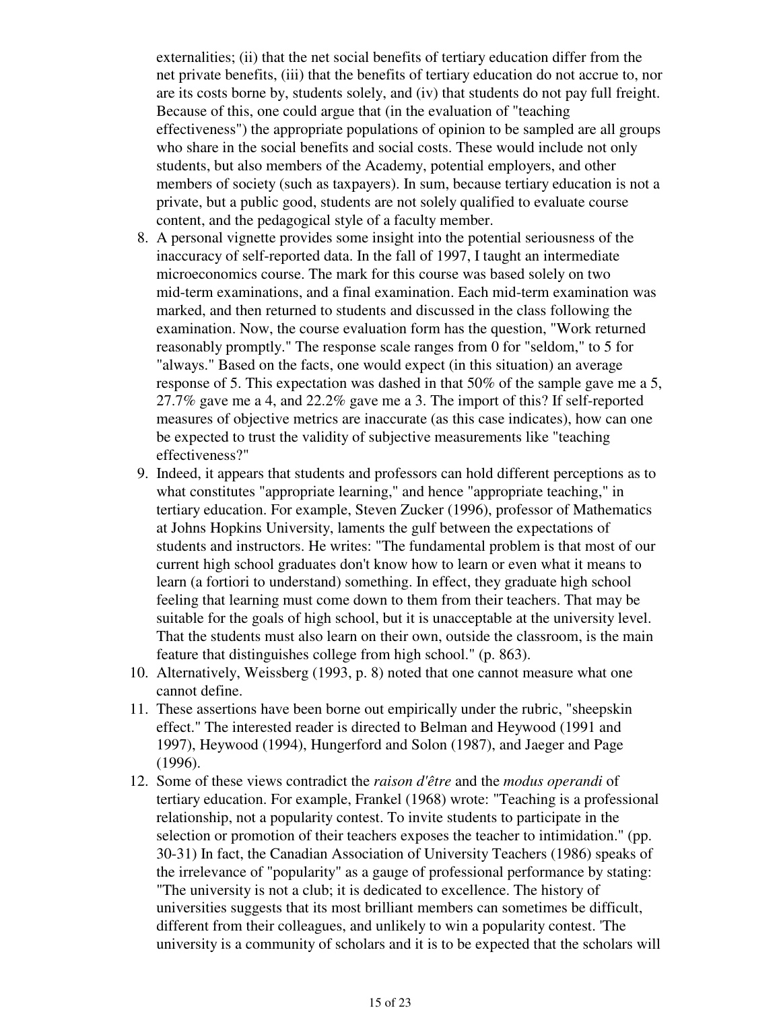externalities; (ii) that the net social benefits of tertiary education differ from the net private benefits, (iii) that the benefits of tertiary education do not accrue to, nor are its costs borne by, students solely, and (iv) that students do not pay full freight. Because of this, one could argue that (in the evaluation of "teaching effectiveness") the appropriate populations of opinion to be sampled are all groups who share in the social benefits and social costs. These would include not only students, but also members of the Academy, potential employers, and other members of society (such as taxpayers). In sum, because tertiary education is not a private, but a public good, students are not solely qualified to evaluate course content, and the pedagogical style of a faculty member.

- A personal vignette provides some insight into the potential seriousness of the 8. inaccuracy of self-reported data. In the fall of 1997, I taught an intermediate microeconomics course. The mark for this course was based solely on two mid-term examinations, and a final examination. Each mid-term examination was marked, and then returned to students and discussed in the class following the examination. Now, the course evaluation form has the question, "Work returned reasonably promptly." The response scale ranges from 0 for "seldom," to 5 for "always." Based on the facts, one would expect (in this situation) an average response of 5. This expectation was dashed in that 50% of the sample gave me a 5, 27.7% gave me a 4, and 22.2% gave me a 3. The import of this? If self-reported measures of objective metrics are inaccurate (as this case indicates), how can one be expected to trust the validity of subjective measurements like "teaching effectiveness?"
- 9. Indeed, it appears that students and professors can hold different perceptions as to what constitutes "appropriate learning," and hence "appropriate teaching," in tertiary education. For example, Steven Zucker (1996), professor of Mathematics at Johns Hopkins University, laments the gulf between the expectations of students and instructors. He writes: "The fundamental problem is that most of our current high school graduates don't know how to learn or even what it means to learn (a fortiori to understand) something. In effect, they graduate high school feeling that learning must come down to them from their teachers. That may be suitable for the goals of high school, but it is unacceptable at the university level. That the students must also learn on their own, outside the classroom, is the main feature that distinguishes college from high school." (p. 863).
- Alternatively, Weissberg (1993, p. 8) noted that one cannot measure what one 10. cannot define.
- 11. These assertions have been borne out empirically under the rubric, "sheepskin effect." The interested reader is directed to Belman and Heywood (1991 and 1997), Heywood (1994), Hungerford and Solon (1987), and Jaeger and Page (1996).
- 12. Some of these views contradict the *raison d'être* and the *modus operandi* of tertiary education. For example, Frankel (1968) wrote: "Teaching is a professional relationship, not a popularity contest. To invite students to participate in the selection or promotion of their teachers exposes the teacher to intimidation." (pp. 30-31) In fact, the Canadian Association of University Teachers (1986) speaks of the irrelevance of "popularity" as a gauge of professional performance by stating: "The university is not a club; it is dedicated to excellence. The history of universities suggests that its most brilliant members can sometimes be difficult, different from their colleagues, and unlikely to win a popularity contest. 'The university is a community of scholars and it is to be expected that the scholars will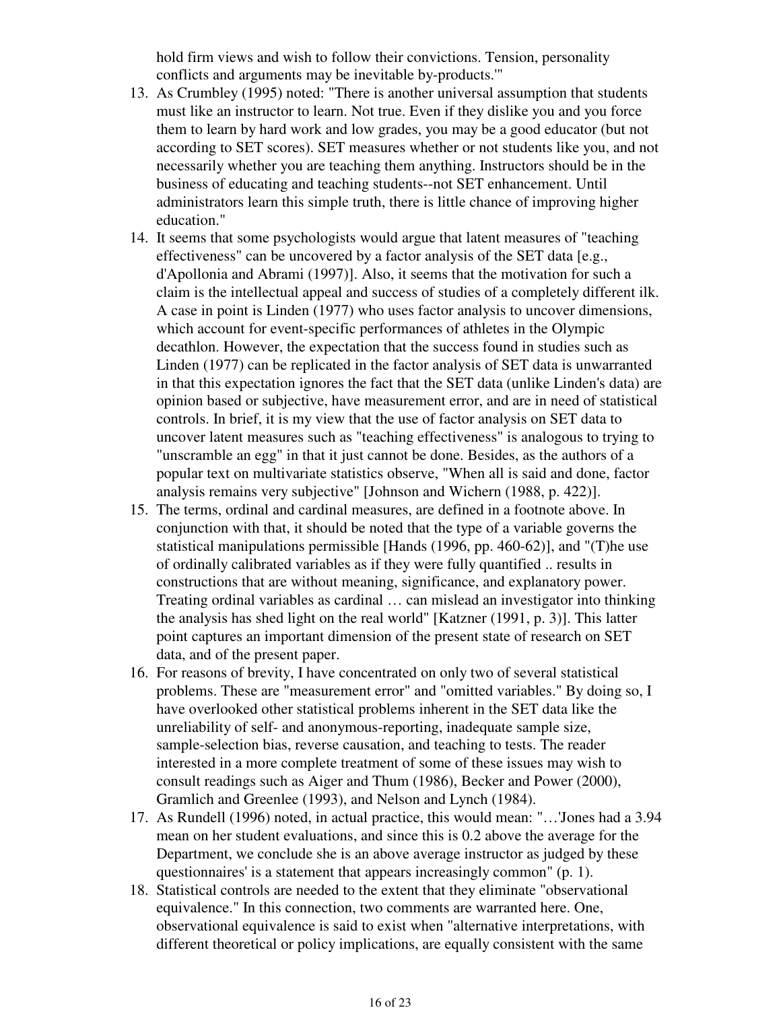hold firm views and wish to follow their convictions. Tension, personality conflicts and arguments may be inevitable by-products.'"

- As Crumbley (1995) noted: "There is another universal assumption that students 13. must like an instructor to learn. Not true. Even if they dislike you and you force them to learn by hard work and low grades, you may be a good educator (but not according to SET scores). SET measures whether or not students like you, and not necessarily whether you are teaching them anything. Instructors should be in the business of educating and teaching students--not SET enhancement. Until administrators learn this simple truth, there is little chance of improving higher education."
- 14. It seems that some psychologists would argue that latent measures of "teaching effectiveness" can be uncovered by a factor analysis of the SET data [e.g., d'Apollonia and Abrami (1997)]. Also, it seems that the motivation for such a claim is the intellectual appeal and success of studies of a completely different ilk. A case in point is Linden (1977) who uses factor analysis to uncover dimensions, which account for event-specific performances of athletes in the Olympic decathlon. However, the expectation that the success found in studies such as Linden (1977) can be replicated in the factor analysis of SET data is unwarranted in that this expectation ignores the fact that the SET data (unlike Linden's data) are opinion based or subjective, have measurement error, and are in need of statistical controls. In brief, it is my view that the use of factor analysis on SET data to uncover latent measures such as "teaching effectiveness" is analogous to trying to "unscramble an egg" in that it just cannot be done. Besides, as the authors of a popular text on multivariate statistics observe, "When all is said and done, factor analysis remains very subjective" [Johnson and Wichern (1988, p. 422)].
- 15. The terms, ordinal and cardinal measures, are defined in a footnote above. In conjunction with that, it should be noted that the type of a variable governs the statistical manipulations permissible [Hands (1996, pp. 460-62)], and "(T)he use of ordinally calibrated variables as if they were fully quantified .. results in constructions that are without meaning, significance, and explanatory power. Treating ordinal variables as cardinal … can mislead an investigator into thinking the analysis has shed light on the real world" [Katzner (1991, p. 3)]. This latter point captures an important dimension of the present state of research on SET data, and of the present paper.
- 16. For reasons of brevity, I have concentrated on only two of several statistical problems. These are "measurement error" and "omitted variables." By doing so, I have overlooked other statistical problems inherent in the SET data like the unreliability of self- and anonymous-reporting, inadequate sample size, sample-selection bias, reverse causation, and teaching to tests. The reader interested in a more complete treatment of some of these issues may wish to consult readings such as Aiger and Thum (1986), Becker and Power (2000), Gramlich and Greenlee (1993), and Nelson and Lynch (1984).
- 17. As Rundell (1996) noted, in actual practice, this would mean: "...'Jones had a 3.94 mean on her student evaluations, and since this is 0.2 above the average for the Department, we conclude she is an above average instructor as judged by these questionnaires' is a statement that appears increasingly common" (p. 1).
- 18. Statistical controls are needed to the extent that they eliminate "observational equivalence." In this connection, two comments are warranted here. One, observational equivalence is said to exist when "alternative interpretations, with different theoretical or policy implications, are equally consistent with the same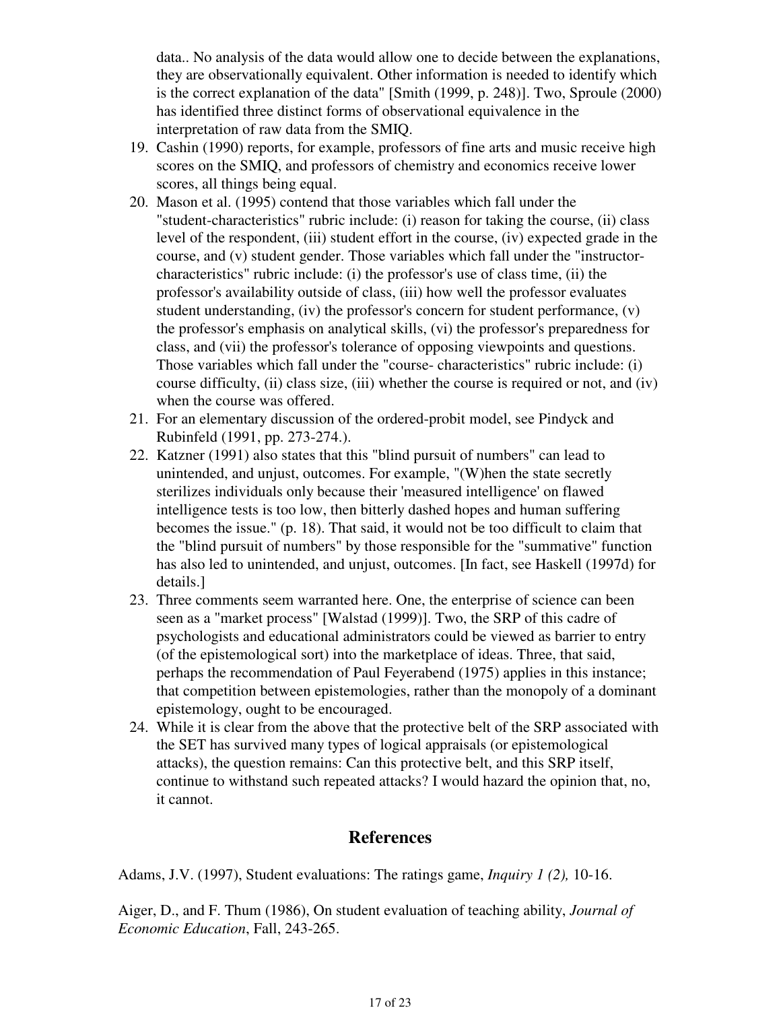data.. No analysis of the data would allow one to decide between the explanations, they are observationally equivalent. Other information is needed to identify which is the correct explanation of the data" [Smith (1999, p. 248)]. Two, Sproule (2000) has identified three distinct forms of observational equivalence in the interpretation of raw data from the SMIQ.

- 19. Cashin (1990) reports, for example, professors of fine arts and music receive high scores on the SMIQ, and professors of chemistry and economics receive lower scores, all things being equal.
- Mason et al. (1995) contend that those variables which fall under the 20. "student-characteristics" rubric include: (i) reason for taking the course, (ii) class level of the respondent, (iii) student effort in the course, (iv) expected grade in the course, and (v) student gender. Those variables which fall under the "instructorcharacteristics" rubric include: (i) the professor's use of class time, (ii) the professor's availability outside of class, (iii) how well the professor evaluates student understanding,  $(iv)$  the professor's concern for student performance,  $(v)$ the professor's emphasis on analytical skills, (vi) the professor's preparedness for class, and (vii) the professor's tolerance of opposing viewpoints and questions. Those variables which fall under the "course- characteristics" rubric include: (i) course difficulty, (ii) class size, (iii) whether the course is required or not, and (iv) when the course was offered.
- 21. For an elementary discussion of the ordered-probit model, see Pindyck and Rubinfeld (1991, pp. 273-274.).
- 22. Katzner (1991) also states that this "blind pursuit of numbers" can lead to unintended, and unjust, outcomes. For example, "(W)hen the state secretly sterilizes individuals only because their 'measured intelligence' on flawed intelligence tests is too low, then bitterly dashed hopes and human suffering becomes the issue." (p. 18). That said, it would not be too difficult to claim that the "blind pursuit of numbers" by those responsible for the "summative" function has also led to unintended, and unjust, outcomes. [In fact, see Haskell (1997d) for details.]
- 23. Three comments seem warranted here. One, the enterprise of science can been seen as a "market process" [Walstad (1999)]. Two, the SRP of this cadre of psychologists and educational administrators could be viewed as barrier to entry (of the epistemological sort) into the marketplace of ideas. Three, that said, perhaps the recommendation of Paul Feyerabend (1975) applies in this instance; that competition between epistemologies, rather than the monopoly of a dominant epistemology, ought to be encouraged.
- While it is clear from the above that the protective belt of the SRP associated with 24. the SET has survived many types of logical appraisals (or epistemological attacks), the question remains: Can this protective belt, and this SRP itself, continue to withstand such repeated attacks? I would hazard the opinion that, no, it cannot.

# **References**

Adams, J.V. (1997), Student evaluations: The ratings game, *Inquiry 1 (2),* 10-16.

Aiger, D., and F. Thum (1986), On student evaluation of teaching ability, *Journal of Economic Education*, Fall, 243-265.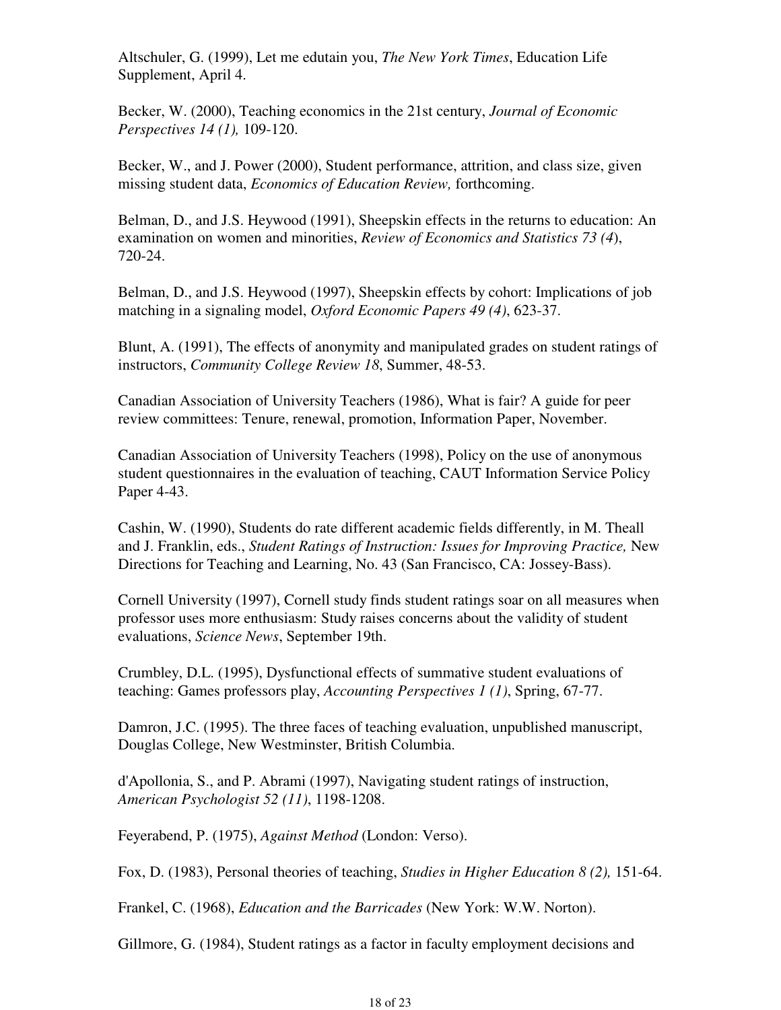Altschuler, G. (1999), Let me edutain you, *The New York Times*, Education Life Supplement, April 4.

Becker, W. (2000), Teaching economics in the 21st century, *Journal of Economic Perspectives 14 (1),* 109-120.

Becker, W., and J. Power (2000), Student performance, attrition, and class size, given missing student data, *Economics of Education Review,* forthcoming.

Belman, D., and J.S. Heywood (1991), Sheepskin effects in the returns to education: An examination on women and minorities, *Review of Economics and Statistics 73 (4*), 720-24.

Belman, D., and J.S. Heywood (1997), Sheepskin effects by cohort: Implications of job matching in a signaling model, *Oxford Economic Papers 49 (4)*, 623-37.

Blunt, A. (1991), The effects of anonymity and manipulated grades on student ratings of instructors, *Community College Review 18*, Summer, 48-53.

Canadian Association of University Teachers (1986), What is fair? A guide for peer review committees: Tenure, renewal, promotion, Information Paper, November.

Canadian Association of University Teachers (1998), Policy on the use of anonymous student questionnaires in the evaluation of teaching, CAUT Information Service Policy Paper 4-43.

Cashin, W. (1990), Students do rate different academic fields differently, in M. Theall and J. Franklin, eds., *Student Ratings of Instruction: Issues for Improving Practice,* New Directions for Teaching and Learning, No. 43 (San Francisco, CA: Jossey-Bass).

Cornell University (1997), Cornell study finds student ratings soar on all measures when professor uses more enthusiasm: Study raises concerns about the validity of student evaluations, *Science News*, September 19th.

Crumbley, D.L. (1995), Dysfunctional effects of summative student evaluations of teaching: Games professors play, *Accounting Perspectives 1 (1)*, Spring, 67-77.

Damron, J.C. (1995). The three faces of teaching evaluation, unpublished manuscript, Douglas College, New Westminster, British Columbia.

d'Apollonia, S., and P. Abrami (1997), Navigating student ratings of instruction, *American Psychologist 52 (11)*, 1198-1208.

Feyerabend, P. (1975), *Against Method* (London: Verso).

Fox, D. (1983), Personal theories of teaching, *Studies in Higher Education 8 (2),* 151-64.

Frankel, C. (1968), *Education and the Barricades* (New York: W.W. Norton).

Gillmore, G. (1984), Student ratings as a factor in faculty employment decisions and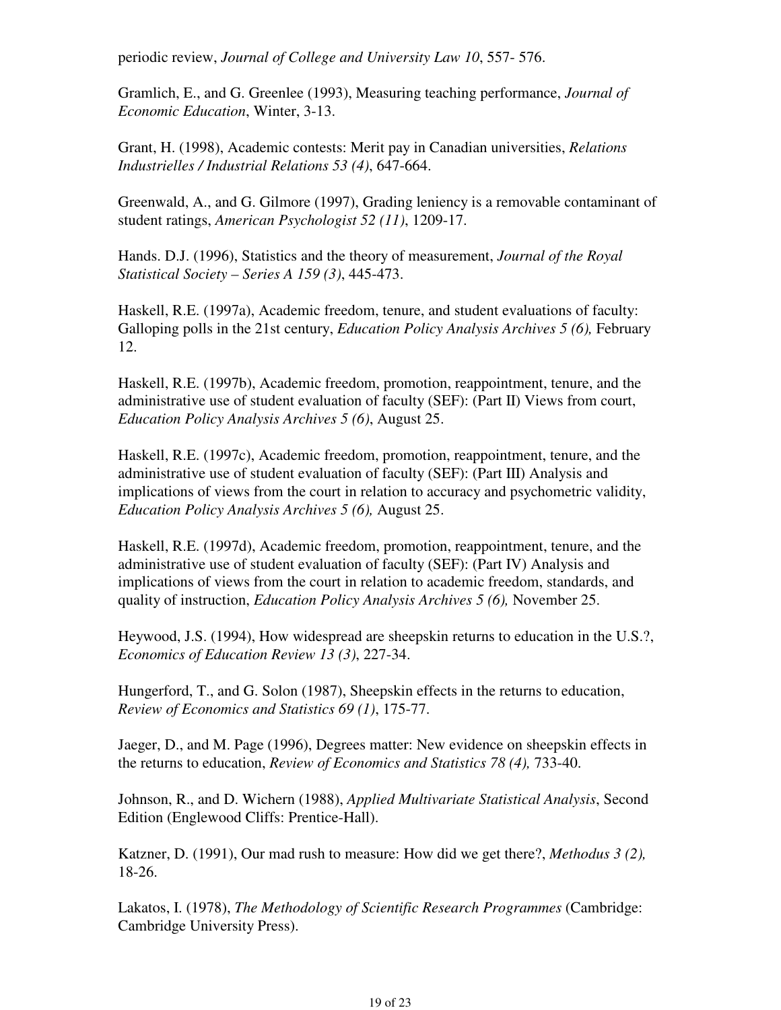periodic review, *Journal of College and University Law 10*, 557- 576.

Gramlich, E., and G. Greenlee (1993), Measuring teaching performance, *Journal of Economic Education*, Winter, 3-13.

Grant, H. (1998), Academic contests: Merit pay in Canadian universities, *Relations Industrielles / Industrial Relations 53 (4)*, 647-664.

Greenwald, A., and G. Gilmore (1997), Grading leniency is a removable contaminant of student ratings, *American Psychologist 52 (11)*, 1209-17.

Hands. D.J. (1996), Statistics and the theory of measurement, *Journal of the Royal Statistical Society – Series A 159 (3)*, 445-473.

Haskell, R.E. (1997a), Academic freedom, tenure, and student evaluations of faculty: Galloping polls in the 21st century, *Education Policy Analysis Archives 5 (6),* February 12.

Haskell, R.E. (1997b), Academic freedom, promotion, reappointment, tenure, and the administrative use of student evaluation of faculty (SEF): (Part II) Views from court, *Education Policy Analysis Archives 5 (6)*, August 25.

Haskell, R.E. (1997c), Academic freedom, promotion, reappointment, tenure, and the administrative use of student evaluation of faculty (SEF): (Part III) Analysis and implications of views from the court in relation to accuracy and psychometric validity, *Education Policy Analysis Archives 5 (6),* August 25.

Haskell, R.E. (1997d), Academic freedom, promotion, reappointment, tenure, and the administrative use of student evaluation of faculty (SEF): (Part IV) Analysis and implications of views from the court in relation to academic freedom, standards, and quality of instruction, *Education Policy Analysis Archives 5 (6),* November 25.

Heywood, J.S. (1994), How widespread are sheepskin returns to education in the U.S.?, *Economics of Education Review 13 (3)*, 227-34.

Hungerford, T., and G. Solon (1987), Sheepskin effects in the returns to education, *Review of Economics and Statistics 69 (1)*, 175-77.

Jaeger, D., and M. Page (1996), Degrees matter: New evidence on sheepskin effects in the returns to education, *Review of Economics and Statistics 78 (4),* 733-40.

Johnson, R., and D. Wichern (1988), *Applied Multivariate Statistical Analysis*, Second Edition (Englewood Cliffs: Prentice-Hall).

Katzner, D. (1991), Our mad rush to measure: How did we get there?, *Methodus 3 (2),*  18-26.

Lakatos, I. (1978), *The Methodology of Scientific Research Programmes* (Cambridge: Cambridge University Press).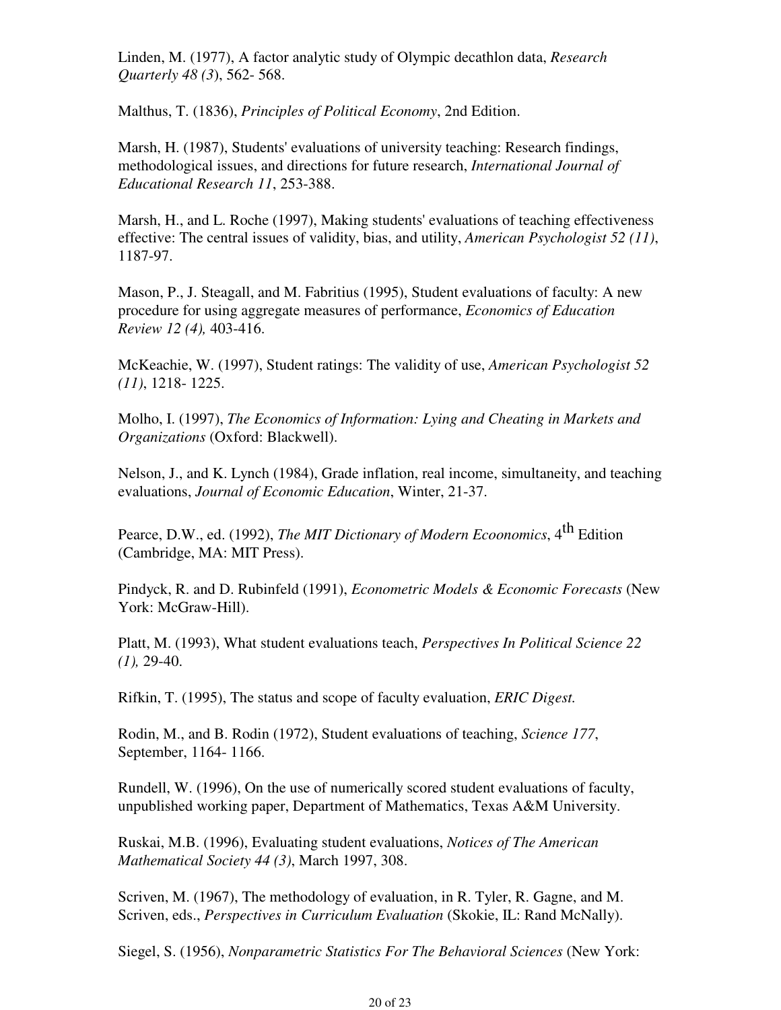Linden, M. (1977), A factor analytic study of Olympic decathlon data, *Research Quarterly 48 (3*), 562- 568.

Malthus, T. (1836), *Principles of Political Economy*, 2nd Edition.

Marsh, H. (1987), Students' evaluations of university teaching: Research findings, methodological issues, and directions for future research, *International Journal of Educational Research 11*, 253-388.

Marsh, H., and L. Roche (1997), Making students' evaluations of teaching effectiveness effective: The central issues of validity, bias, and utility, *American Psychologist 52 (11)*, 1187-97.

Mason, P., J. Steagall, and M. Fabritius (1995), Student evaluations of faculty: A new procedure for using aggregate measures of performance, *Economics of Education Review 12 (4),* 403-416.

McKeachie, W. (1997), Student ratings: The validity of use, *American Psychologist 52 (11)*, 1218- 1225.

Molho, I. (1997), *The Economics of Information: Lying and Cheating in Markets and Organizations* (Oxford: Blackwell).

Nelson, J., and K. Lynch (1984), Grade inflation, real income, simultaneity, and teaching evaluations, *Journal of Economic Education*, Winter, 21-37.

Pearce, D.W., ed. (1992), *The MIT Dictionary of Modern Ecoonomics*, 4<sup>th</sup> Edition (Cambridge, MA: MIT Press).

Pindyck, R. and D. Rubinfeld (1991), *Econometric Models & Economic Forecasts* (New York: McGraw-Hill).

Platt, M. (1993), What student evaluations teach, *Perspectives In Political Science 22 (1),* 29-40.

Rifkin, T. (1995), The status and scope of faculty evaluation, *ERIC Digest.*

Rodin, M., and B. Rodin (1972), Student evaluations of teaching, *Science 177*, September, 1164- 1166.

Rundell, W. (1996), On the use of numerically scored student evaluations of faculty, unpublished working paper, Department of Mathematics, Texas A&M University.

Ruskai, M.B. (1996), Evaluating student evaluations, *Notices of The American Mathematical Society 44 (3)*, March 1997, 308.

Scriven, M. (1967), The methodology of evaluation, in R. Tyler, R. Gagne, and M. Scriven, eds., *Perspectives in Curriculum Evaluation* (Skokie, IL: Rand McNally).

Siegel, S. (1956), *Nonparametric Statistics For The Behavioral Sciences* (New York: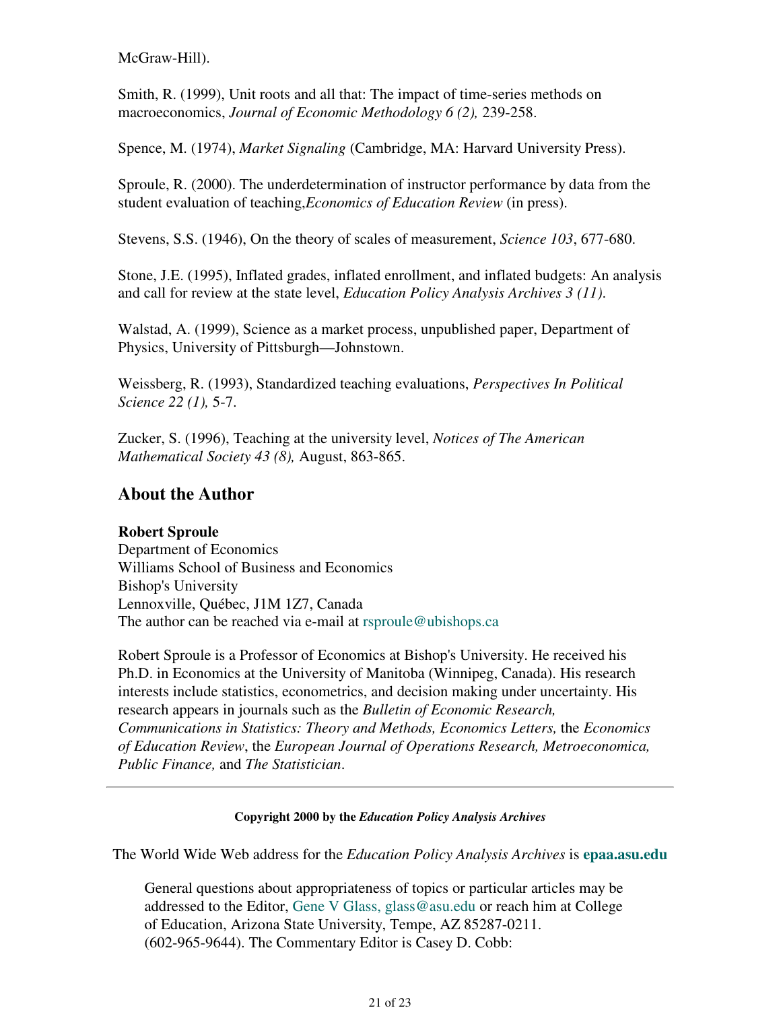McGraw-Hill).

Smith, R. (1999), Unit roots and all that: The impact of time-series methods on macroeconomics, *Journal of Economic Methodology 6 (2),* 239-258.

Spence, M. (1974), *Market Signaling* (Cambridge, MA: Harvard University Press).

Sproule, R. (2000). The underdetermination of instructor performance by data from the student evaluation of teaching,*Economics of Education Review* (in press).

Stevens, S.S. (1946), On the theory of scales of measurement, *Science 103*, 677-680.

Stone, J.E. (1995), Inflated grades, inflated enrollment, and inflated budgets: An analysis and call for review at the state level, *Education Policy Analysis Archives 3 (11)*.

Walstad, A. (1999), Science as a market process, unpublished paper, Department of Physics, University of Pittsburgh—Johnstown.

Weissberg, R. (1993), Standardized teaching evaluations, *Perspectives In Political Science 22 (1),* 5-7.

Zucker, S. (1996), Teaching at the university level, *Notices of The American Mathematical Society 43 (8),* August, 863-865.

### **About the Author**

### **Robert Sproule**

Department of Economics Williams School of Business and Economics Bishop's University Lennoxville, Québec, J1M 1Z7, Canada The author can be reached via e-mail at rsproule@ubishops.ca

Robert Sproule is a Professor of Economics at Bishop's University. He received his Ph.D. in Economics at the University of Manitoba (Winnipeg, Canada). His research interests include statistics, econometrics, and decision making under uncertainty. His research appears in journals such as the *Bulletin of Economic Research, Communications in Statistics: Theory and Methods, Economics Letters,* the *Economics of Education Review*, the *European Journal of Operations Research, Metroeconomica, Public Finance,* and *The Statistician*.

### **Copyright 2000 by the** *Education Policy Analysis Archives*

The World Wide Web address for the *Education Policy Analysis Archives* is **epaa.asu.edu**

General questions about appropriateness of topics or particular articles may be addressed to the Editor, Gene V Glass, glass@asu.edu or reach him at College of Education, Arizona State University, Tempe, AZ 85287-0211. (602-965-9644). The Commentary Editor is Casey D. Cobb: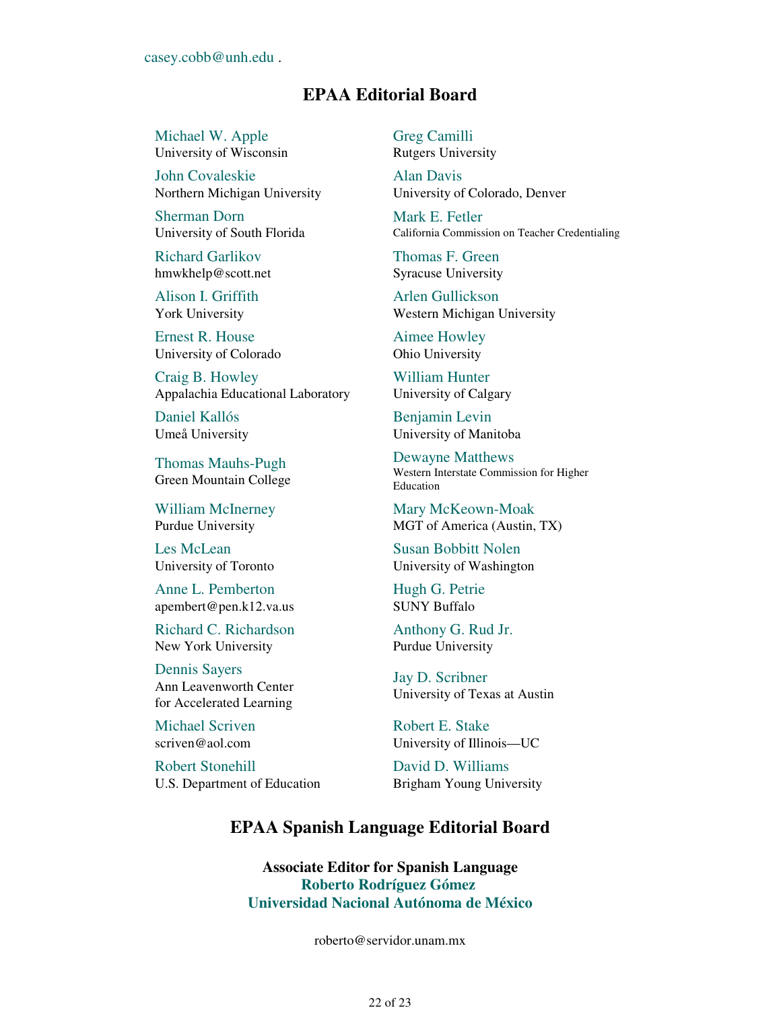### **EPAA Editorial Board**

Michael W. Apple University of Wisconsin

John Covaleskie Northern Michigan University

Sherman Dorn University of South Florida

Richard Garlikov hmwkhelp@scott.net

Alison I. Griffith York University

Ernest R. House University of Colorado

Craig B. Howley Appalachia Educational Laboratory

Daniel Kallós Umeå University

Thomas Mauhs-Pugh Green Mountain College

William McInerney Purdue University

Les McLean University of Toronto

Anne L. Pemberton apembert@pen.k12.va.us

Richard C. Richardson New York University

Dennis Sayers Ann Leavenworth Center for Accelerated Learning

Michael Scriven scriven@aol.com

Robert Stonehill U.S. Department of Education Greg Camilli Rutgers University

Alan Davis University of Colorado, Denver

Mark E. Fetler California Commission on Teacher Credentialing

Thomas F. Green Syracuse University

Arlen Gullickson Western Michigan University

Aimee Howley Ohio University

William Hunter University of Calgary

Benjamin Levin University of Manitoba

Dewayne Matthews Western Interstate Commission for Higher Education

Mary McKeown-Moak MGT of America (Austin, TX)

Susan Bobbitt Nolen University of Washington

Hugh G. Petrie SUNY Buffalo

Anthony G. Rud Jr. Purdue University

Jay D. Scribner University of Texas at Austin

Robert E. Stake University of Illinois—UC

David D. Williams Brigham Young University

### **EPAA Spanish Language Editorial Board**

**Associate Editor for Spanish Language Roberto Rodríguez Gómez Universidad Nacional Autónoma de México**

roberto@servidor.unam.mx